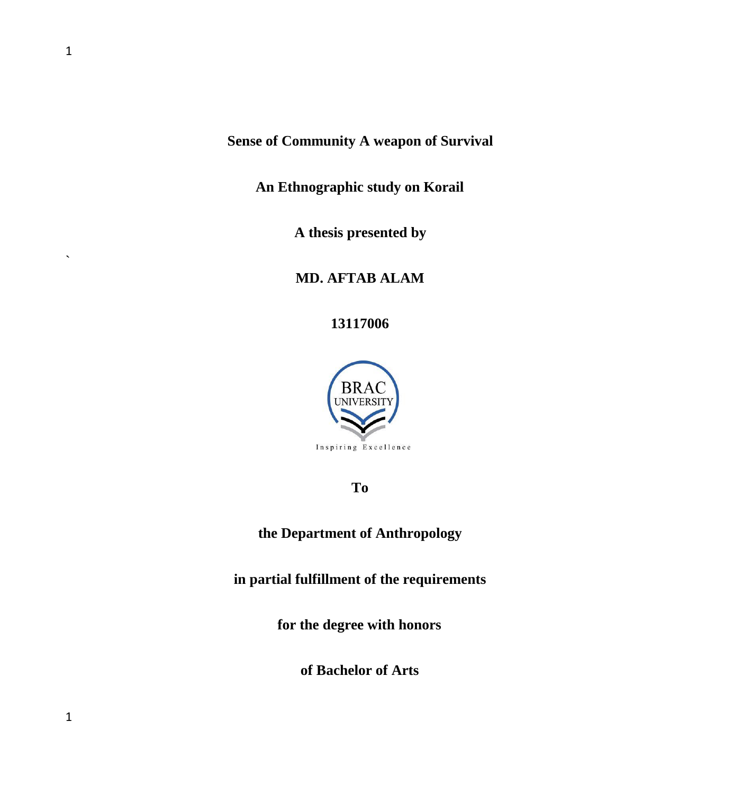**Sense of Community A weapon of Survival**

**An Ethnographic study on Korail**

**A thesis presented by**

**MD. AFTAB ALAM**

**13117006**



**To**

**the Department of Anthropology**

**in partial fulfillment of the requirements**

**for the degree with honors**

**of Bachelor of Arts**

 $\ddot{\phantom{0}}$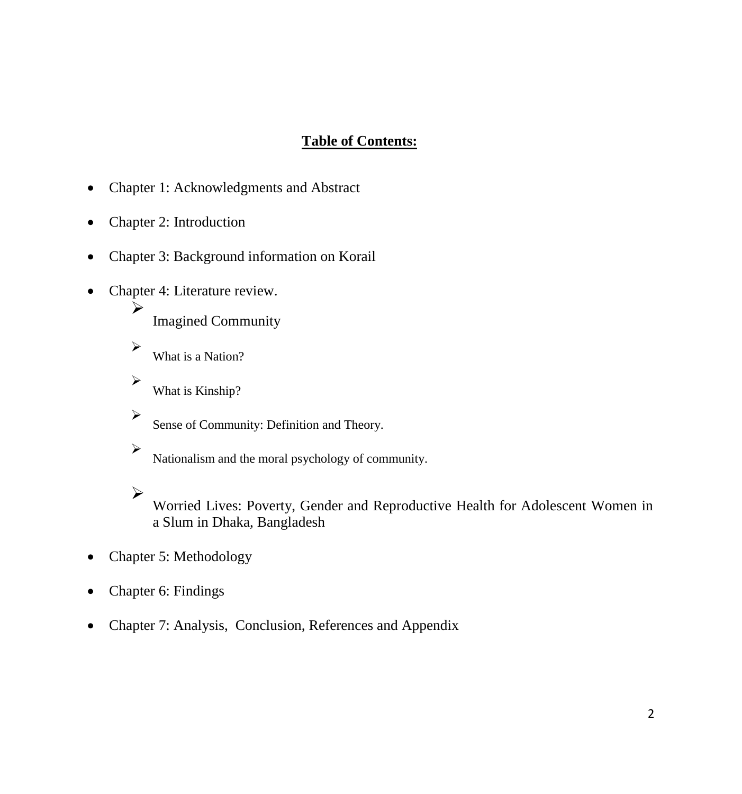# **Table of Contents:**

- Chapter 1: Acknowledgments and Abstract
- Chapter 2: Introduction
- Chapter 3: Background information on Korail
- Chapter 4: Literature review.

Imagined Community

What is a Nation?

➤ What is Kinship?

 $\blacktriangleright$ Sense of Community: Definition and Theory.

 $\triangleright$ Nationalism and the moral psychology of community.

 $\blacktriangleright$ 

≻

≻

Worried Lives: Poverty, Gender and Reproductive Health for Adolescent Women in a Slum in Dhaka, Bangladesh

- Chapter 5: Methodology
- Chapter 6: Findings
- Chapter 7: Analysis, Conclusion, References and Appendix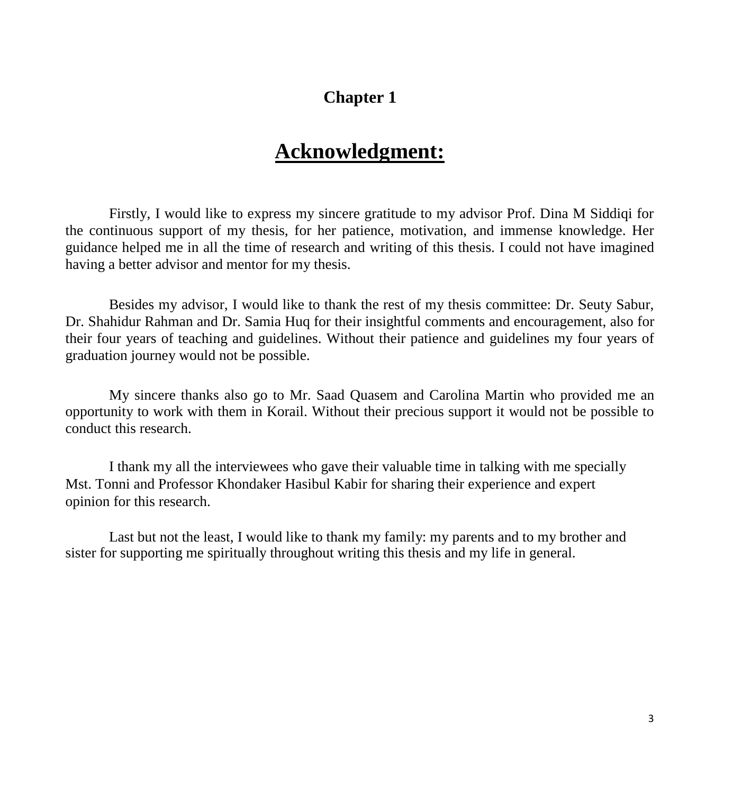# **Chapter 1**

# **Acknowledgment:**

Firstly, I would like to express my sincere gratitude to my advisor Prof. Dina M Siddiqi for the continuous support of my thesis, for her patience, motivation, and immense knowledge. Her guidance helped me in all the time of research and writing of this thesis. I could not have imagined having a better advisor and mentor for my thesis.

Besides my advisor, I would like to thank the rest of my thesis committee: Dr. Seuty Sabur, Dr. Shahidur Rahman and Dr. Samia Huq for their insightful comments and encouragement, also for their four years of teaching and guidelines. Without their patience and guidelines my four years of graduation journey would not be possible.

My sincere thanks also go to Mr. Saad Quasem and Carolina Martin who provided me an opportunity to work with them in Korail. Without their precious support it would not be possible to conduct this research.

I thank my all the interviewees who gave their valuable time in talking with me specially Mst. Tonni and Professor Khondaker Hasibul Kabir for sharing their experience and expert opinion for this research.

Last but not the least, I would like to thank my family: my parents and to my brother and sister for supporting me spiritually throughout writing this thesis and my life in general.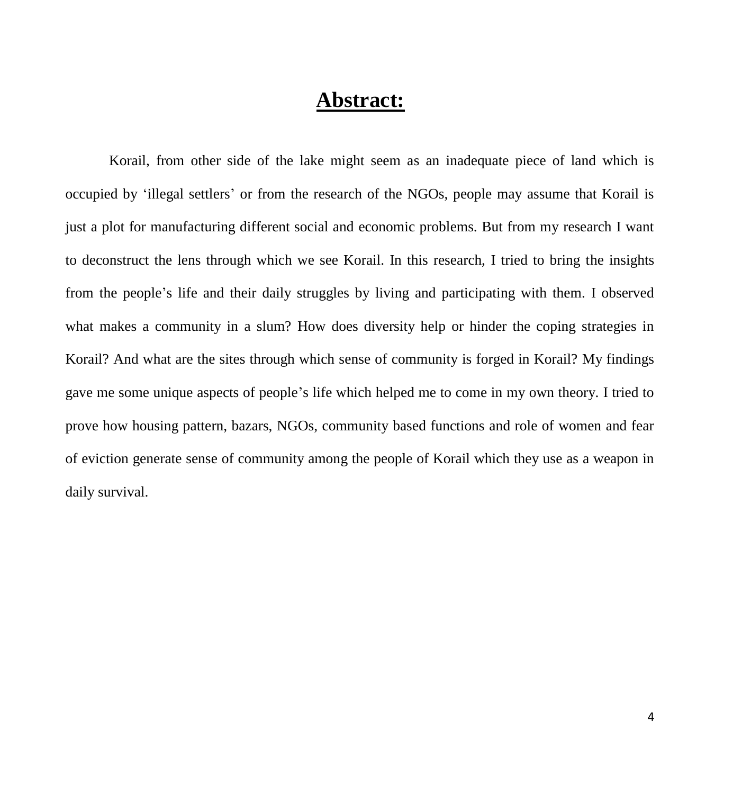# **Abstract:**

Korail, from other side of the lake might seem as an inadequate piece of land which is occupied by 'illegal settlers' or from the research of the NGOs, people may assume that Korail is just a plot for manufacturing different social and economic problems. But from my research I want to deconstruct the lens through which we see Korail. In this research, I tried to bring the insights from the people's life and their daily struggles by living and participating with them. I observed what makes a community in a slum? How does diversity help or hinder the coping strategies in Korail? And what are the sites through which sense of community is forged in Korail? My findings gave me some unique aspects of people's life which helped me to come in my own theory. I tried to prove how housing pattern, bazars, NGOs, community based functions and role of women and fear of eviction generate sense of community among the people of Korail which they use as a weapon in daily survival.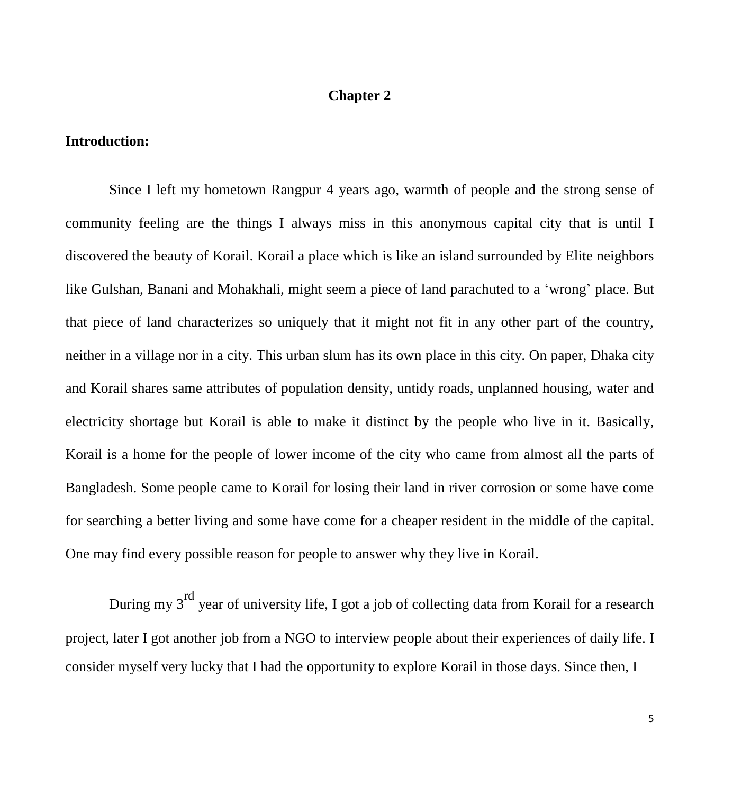# **Chapter 2**

#### **Introduction:**

Since I left my hometown Rangpur 4 years ago, warmth of people and the strong sense of community feeling are the things I always miss in this anonymous capital city that is until I discovered the beauty of Korail. Korail a place which is like an island surrounded by Elite neighbors like Gulshan, Banani and Mohakhali, might seem a piece of land parachuted to a 'wrong' place. But that piece of land characterizes so uniquely that it might not fit in any other part of the country, neither in a village nor in a city. This urban slum has its own place in this city. On paper, Dhaka city and Korail shares same attributes of population density, untidy roads, unplanned housing, water and electricity shortage but Korail is able to make it distinct by the people who live in it. Basically, Korail is a home for the people of lower income of the city who came from almost all the parts of Bangladesh. Some people came to Korail for losing their land in river corrosion or some have come for searching a better living and some have come for a cheaper resident in the middle of the capital. One may find every possible reason for people to answer why they live in Korail.

During my 3<sup>rd</sup> year of university life, I got a job of collecting data from Korail for a research project, later I got another job from a NGO to interview people about their experiences of daily life. I consider myself very lucky that I had the opportunity to explore Korail in those days. Since then, I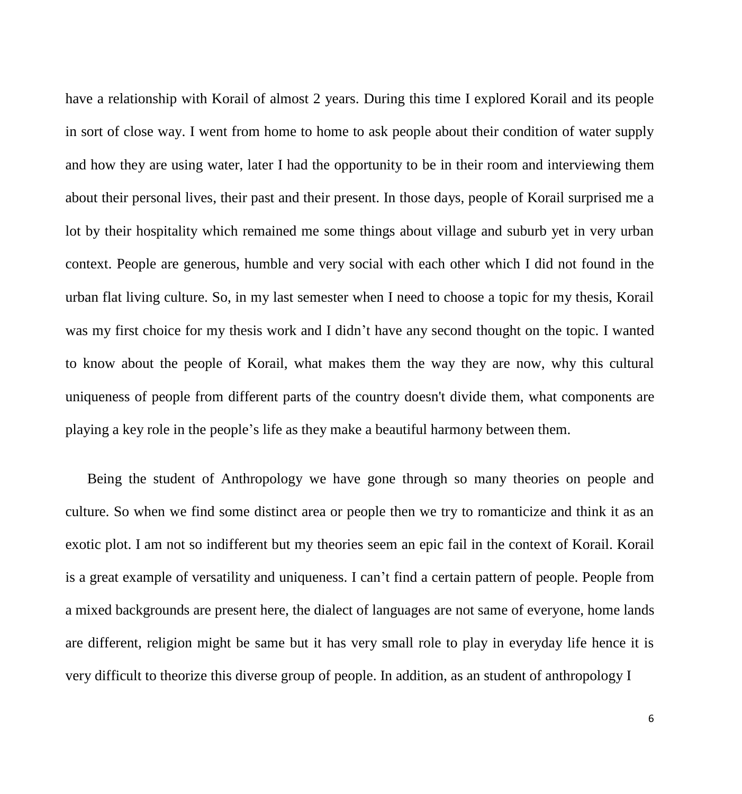have a relationship with Korail of almost 2 years. During this time I explored Korail and its people in sort of close way. I went from home to home to ask people about their condition of water supply and how they are using water, later I had the opportunity to be in their room and interviewing them about their personal lives, their past and their present. In those days, people of Korail surprised me a lot by their hospitality which remained me some things about village and suburb yet in very urban context. People are generous, humble and very social with each other which I did not found in the urban flat living culture. So, in my last semester when I need to choose a topic for my thesis, Korail was my first choice for my thesis work and I didn't have any second thought on the topic. I wanted to know about the people of Korail, what makes them the way they are now, why this cultural uniqueness of people from different parts of the country doesn't divide them, what components are playing a key role in the people's life as they make a beautiful harmony between them.

Being the student of Anthropology we have gone through so many theories on people and culture. So when we find some distinct area or people then we try to romanticize and think it as an exotic plot. I am not so indifferent but my theories seem an epic fail in the context of Korail. Korail is a great example of versatility and uniqueness. I can't find a certain pattern of people. People from a mixed backgrounds are present here, the dialect of languages are not same of everyone, home lands are different, religion might be same but it has very small role to play in everyday life hence it is very difficult to theorize this diverse group of people. In addition, as an student of anthropology I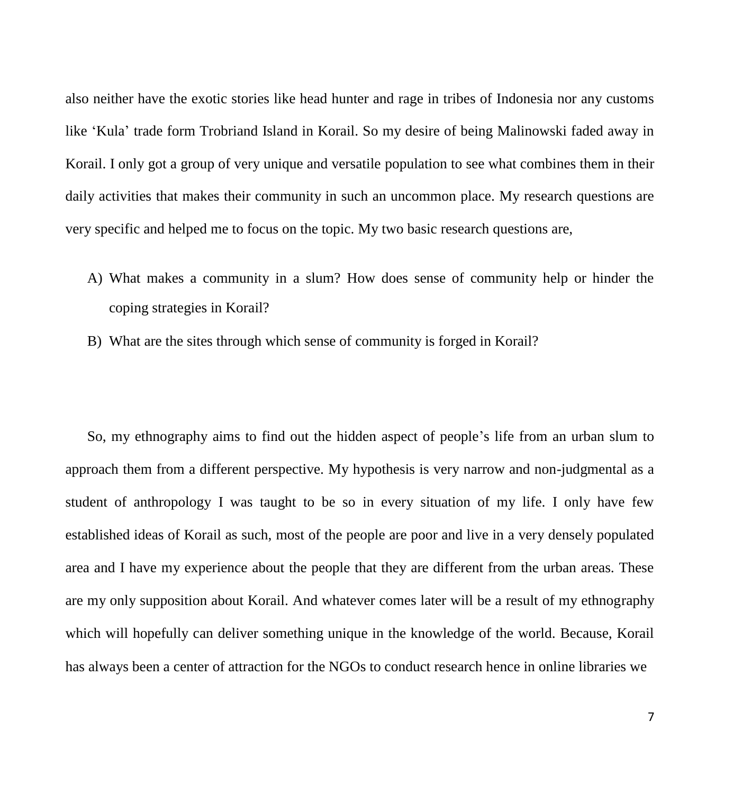also neither have the exotic stories like head hunter and rage in tribes of Indonesia nor any customs like 'Kula' trade form Trobriand Island in Korail. So my desire of being Malinowski faded away in Korail. I only got a group of very unique and versatile population to see what combines them in their daily activities that makes their community in such an uncommon place. My research questions are very specific and helped me to focus on the topic. My two basic research questions are,

- A) What makes a community in a slum? How does sense of community help or hinder the coping strategies in Korail?
- B) What are the sites through which sense of community is forged in Korail?

So, my ethnography aims to find out the hidden aspect of people's life from an urban slum to approach them from a different perspective. My hypothesis is very narrow and non-judgmental as a student of anthropology I was taught to be so in every situation of my life. I only have few established ideas of Korail as such, most of the people are poor and live in a very densely populated area and I have my experience about the people that they are different from the urban areas. These are my only supposition about Korail. And whatever comes later will be a result of my ethnography which will hopefully can deliver something unique in the knowledge of the world. Because, Korail has always been a center of attraction for the NGOs to conduct research hence in online libraries we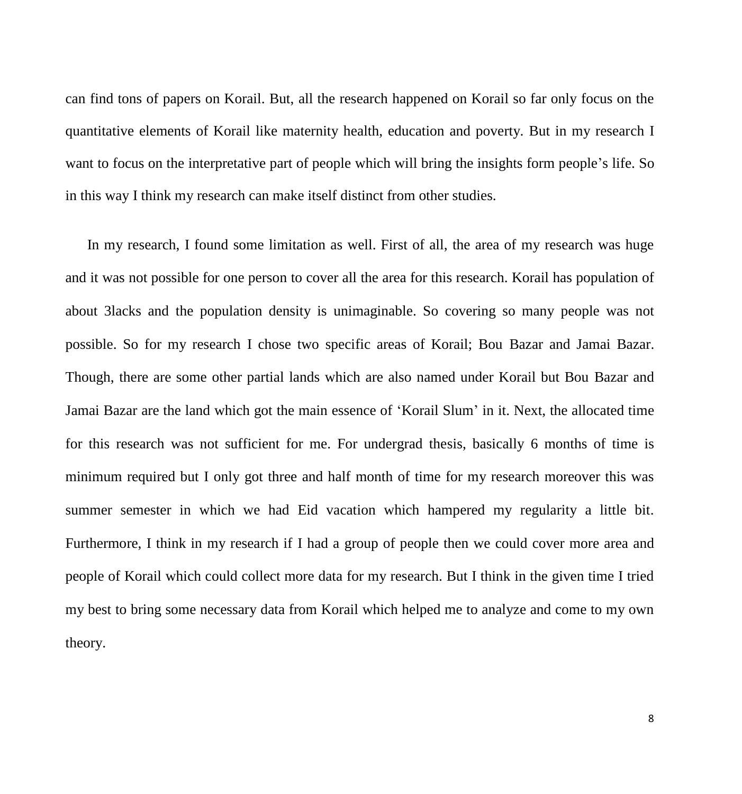can find tons of papers on Korail. But, all the research happened on Korail so far only focus on the quantitative elements of Korail like maternity health, education and poverty. But in my research I want to focus on the interpretative part of people which will bring the insights form people's life. So in this way I think my research can make itself distinct from other studies.

In my research, I found some limitation as well. First of all, the area of my research was huge and it was not possible for one person to cover all the area for this research. Korail has population of about 3lacks and the population density is unimaginable. So covering so many people was not possible. So for my research I chose two specific areas of Korail; Bou Bazar and Jamai Bazar. Though, there are some other partial lands which are also named under Korail but Bou Bazar and Jamai Bazar are the land which got the main essence of 'Korail Slum' in it. Next, the allocated time for this research was not sufficient for me. For undergrad thesis, basically 6 months of time is minimum required but I only got three and half month of time for my research moreover this was summer semester in which we had Eid vacation which hampered my regularity a little bit. Furthermore, I think in my research if I had a group of people then we could cover more area and people of Korail which could collect more data for my research. But I think in the given time I tried my best to bring some necessary data from Korail which helped me to analyze and come to my own theory.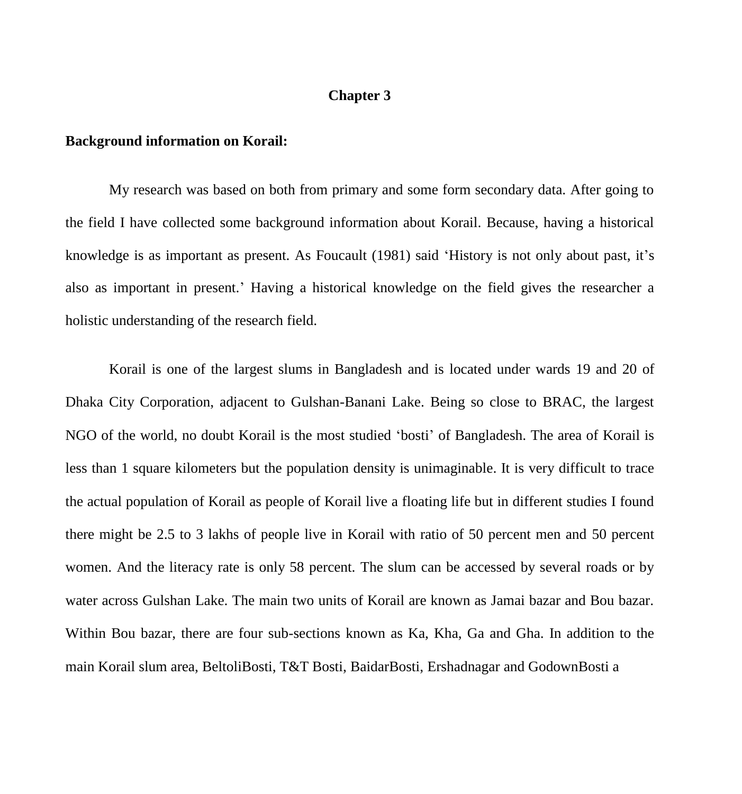# **Chapter 3**

#### **Background information on Korail:**

My research was based on both from primary and some form secondary data. After going to the field I have collected some background information about Korail. Because, having a historical knowledge is as important as present. As Foucault (1981) said 'History is not only about past, it's also as important in present.' Having a historical knowledge on the field gives the researcher a holistic understanding of the research field.

Korail is one of the largest slums in Bangladesh and is located under wards 19 and 20 of Dhaka City Corporation, adjacent to Gulshan-Banani Lake. Being so close to BRAC, the largest NGO of the world, no doubt Korail is the most studied 'bosti' of Bangladesh. The area of Korail is less than 1 square kilometers but the population density is unimaginable. It is very difficult to trace the actual population of Korail as people of Korail live a floating life but in different studies I found there might be 2.5 to 3 lakhs of people live in Korail with ratio of 50 percent men and 50 percent women. And the literacy rate is only 58 percent. The slum can be accessed by several roads or by water across Gulshan Lake. The main two units of Korail are known as Jamai bazar and Bou bazar. Within Bou bazar, there are four sub-sections known as Ka, Kha, Ga and Gha. In addition to the main Korail slum area, BeltoliBosti, T&T Bosti, BaidarBosti, Ershadnagar and GodownBosti a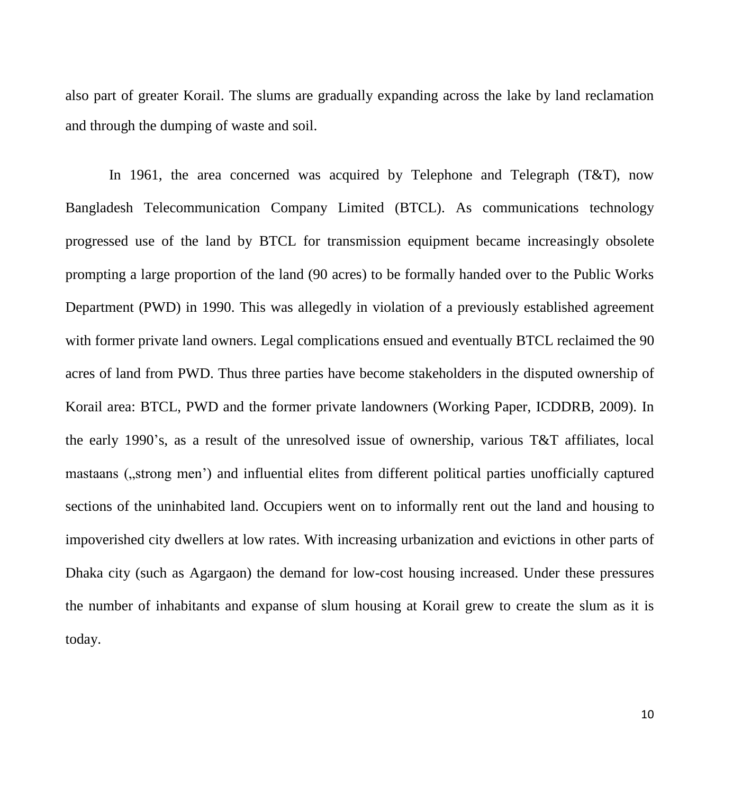also part of greater Korail. The slums are gradually expanding across the lake by land reclamation and through the dumping of waste and soil.

In 1961, the area concerned was acquired by Telephone and Telegraph (T&T), now Bangladesh Telecommunication Company Limited (BTCL). As communications technology progressed use of the land by BTCL for transmission equipment became increasingly obsolete prompting a large proportion of the land (90 acres) to be formally handed over to the Public Works Department (PWD) in 1990. This was allegedly in violation of a previously established agreement with former private land owners. Legal complications ensued and eventually BTCL reclaimed the 90 acres of land from PWD. Thus three parties have become stakeholders in the disputed ownership of Korail area: BTCL, PWD and the former private landowners (Working Paper, ICDDRB, 2009). In the early 1990's, as a result of the unresolved issue of ownership, various T&T affiliates, local mastaans ("strong men') and influential elites from different political parties unofficially captured sections of the uninhabited land. Occupiers went on to informally rent out the land and housing to impoverished city dwellers at low rates. With increasing urbanization and evictions in other parts of Dhaka city (such as Agargaon) the demand for low-cost housing increased. Under these pressures the number of inhabitants and expanse of slum housing at Korail grew to create the slum as it is today.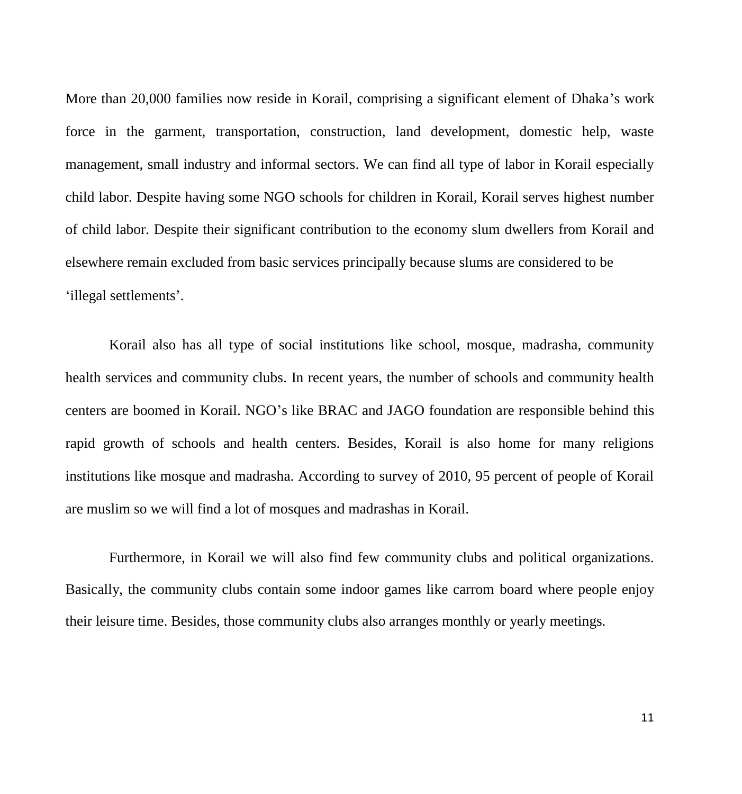More than 20,000 families now reside in Korail, comprising a significant element of Dhaka's work force in the garment, transportation, construction, land development, domestic help, waste management, small industry and informal sectors. We can find all type of labor in Korail especially child labor. Despite having some NGO schools for children in Korail, Korail serves highest number of child labor. Despite their significant contribution to the economy slum dwellers from Korail and elsewhere remain excluded from basic services principally because slums are considered to be 'illegal settlements'.

Korail also has all type of social institutions like school, mosque, madrasha, community health services and community clubs. In recent years, the number of schools and community health centers are boomed in Korail. NGO's like BRAC and JAGO foundation are responsible behind this rapid growth of schools and health centers. Besides, Korail is also home for many religions institutions like mosque and madrasha. According to survey of 2010, 95 percent of people of Korail are muslim so we will find a lot of mosques and madrashas in Korail.

Furthermore, in Korail we will also find few community clubs and political organizations. Basically, the community clubs contain some indoor games like carrom board where people enjoy their leisure time. Besides, those community clubs also arranges monthly or yearly meetings.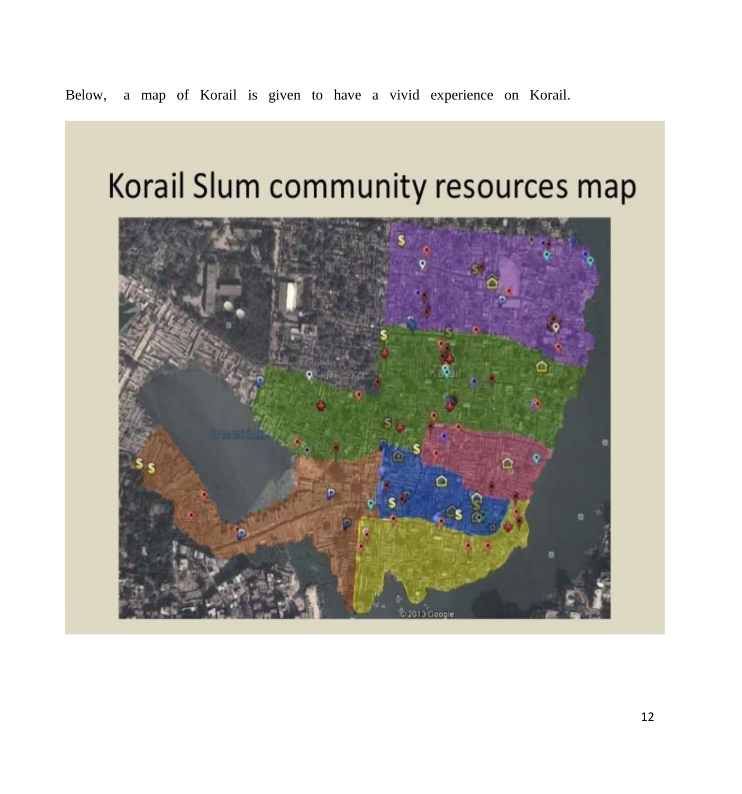# Below, a map of Korail is given to have a vivid experience on Korail.

# Korail Slum community resources map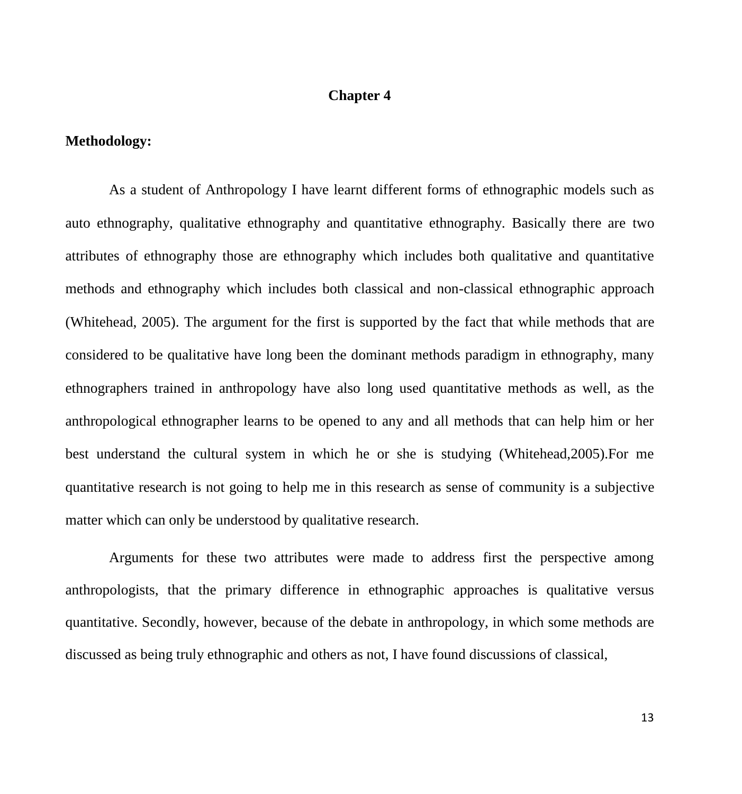# **Chapter 4**

# **Methodology:**

As a student of Anthropology I have learnt different forms of ethnographic models such as auto ethnography, qualitative ethnography and quantitative ethnography. Basically there are two attributes of ethnography those are ethnography which includes both qualitative and quantitative methods and ethnography which includes both classical and non-classical ethnographic approach (Whitehead, 2005). The argument for the first is supported by the fact that while methods that are considered to be qualitative have long been the dominant methods paradigm in ethnography, many ethnographers trained in anthropology have also long used quantitative methods as well, as the anthropological ethnographer learns to be opened to any and all methods that can help him or her best understand the cultural system in which he or she is studying (Whitehead,2005).For me quantitative research is not going to help me in this research as sense of community is a subjective matter which can only be understood by qualitative research.

Arguments for these two attributes were made to address first the perspective among anthropologists, that the primary difference in ethnographic approaches is qualitative versus quantitative. Secondly, however, because of the debate in anthropology, in which some methods are discussed as being truly ethnographic and others as not, I have found discussions of classical,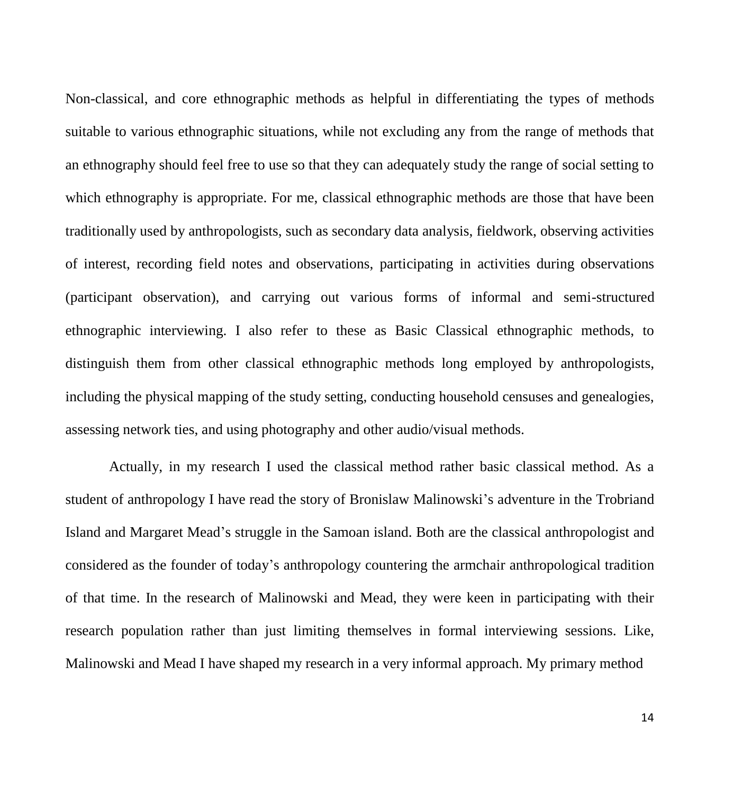Non-classical, and core ethnographic methods as helpful in differentiating the types of methods suitable to various ethnographic situations, while not excluding any from the range of methods that an ethnography should feel free to use so that they can adequately study the range of social setting to which ethnography is appropriate. For me, classical ethnographic methods are those that have been traditionally used by anthropologists, such as secondary data analysis, fieldwork, observing activities of interest, recording field notes and observations, participating in activities during observations (participant observation), and carrying out various forms of informal and semi-structured ethnographic interviewing. I also refer to these as Basic Classical ethnographic methods, to distinguish them from other classical ethnographic methods long employed by anthropologists, including the physical mapping of the study setting, conducting household censuses and genealogies, assessing network ties, and using photography and other audio/visual methods.

Actually, in my research I used the classical method rather basic classical method. As a student of anthropology I have read the story of Bronislaw Malinowski's adventure in the Trobriand Island and Margaret Mead's struggle in the Samoan island. Both are the classical anthropologist and considered as the founder of today's anthropology countering the armchair anthropological tradition of that time. In the research of Malinowski and Mead, they were keen in participating with their research population rather than just limiting themselves in formal interviewing sessions. Like, Malinowski and Mead I have shaped my research in a very informal approach. My primary method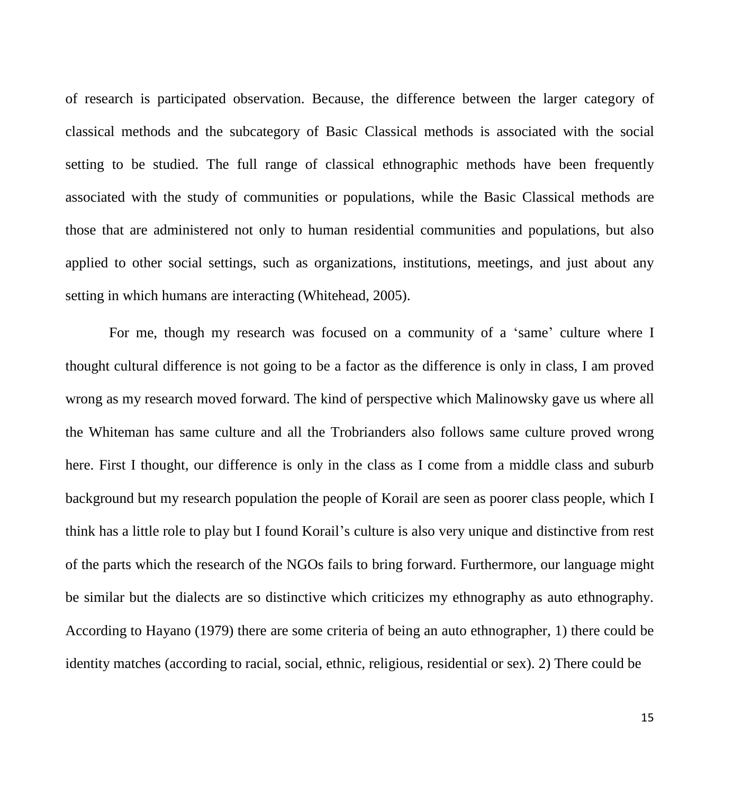of research is participated observation. Because, the difference between the larger category of classical methods and the subcategory of Basic Classical methods is associated with the social setting to be studied. The full range of classical ethnographic methods have been frequently associated with the study of communities or populations, while the Basic Classical methods are those that are administered not only to human residential communities and populations, but also applied to other social settings, such as organizations, institutions, meetings, and just about any setting in which humans are interacting (Whitehead, 2005).

For me, though my research was focused on a community of a 'same' culture where I thought cultural difference is not going to be a factor as the difference is only in class, I am proved wrong as my research moved forward. The kind of perspective which Malinowsky gave us where all the Whiteman has same culture and all the Trobrianders also follows same culture proved wrong here. First I thought, our difference is only in the class as I come from a middle class and suburb background but my research population the people of Korail are seen as poorer class people, which I think has a little role to play but I found Korail's culture is also very unique and distinctive from rest of the parts which the research of the NGOs fails to bring forward. Furthermore, our language might be similar but the dialects are so distinctive which criticizes my ethnography as auto ethnography. According to Hayano (1979) there are some criteria of being an auto ethnographer, 1) there could be identity matches (according to racial, social, ethnic, religious, residential or sex). 2) There could be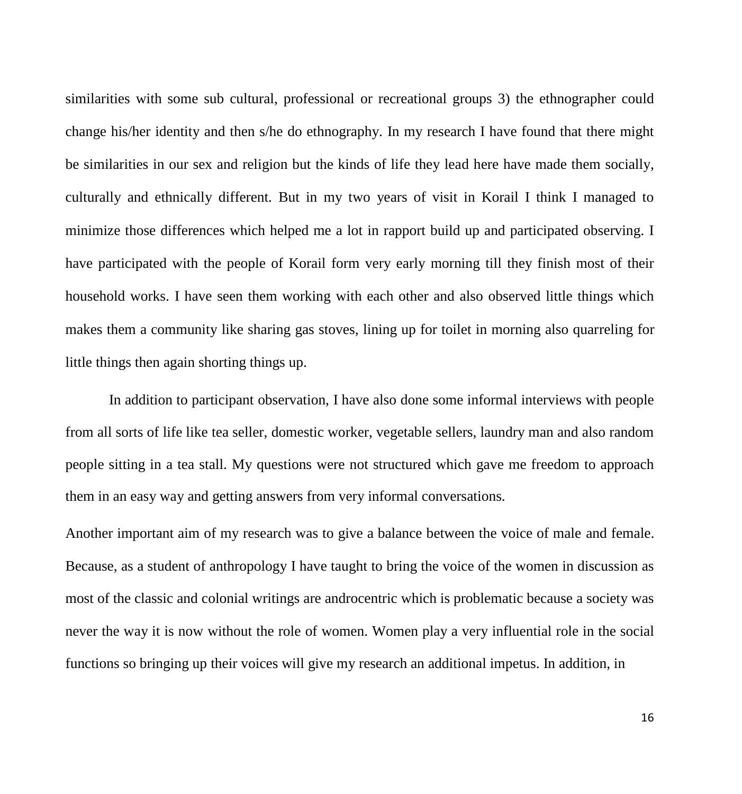similarities with some sub cultural, professional or recreational groups 3) the ethnographer could change his/her identity and then s/he do ethnography. In my research I have found that there might be similarities in our sex and religion but the kinds of life they lead here have made them socially, culturally and ethnically different. But in my two years of visit in Korail I think I managed to minimize those differences which helped me a lot in rapport build up and participated observing. I have participated with the people of Korail form very early morning till they finish most of their household works. I have seen them working with each other and also observed little things which makes them a community like sharing gas stoves, lining up for toilet in morning also quarreling for little things then again shorting things up.

In addition to participant observation, I have also done some informal interviews with people from all sorts of life like tea seller, domestic worker, vegetable sellers, laundry man and also random people sitting in a tea stall. My questions were not structured which gave me freedom to approach them in an easy way and getting answers from very informal conversations.

Another important aim of my research was to give a balance between the voice of male and female. Because, as a student of anthropology I have taught to bring the voice of the women in discussion as most of the classic and colonial writings are androcentric which is problematic because a society was never the way it is now without the role of women. Women play a very influential role in the social functions so bringing up their voices will give my research an additional impetus. In addition, in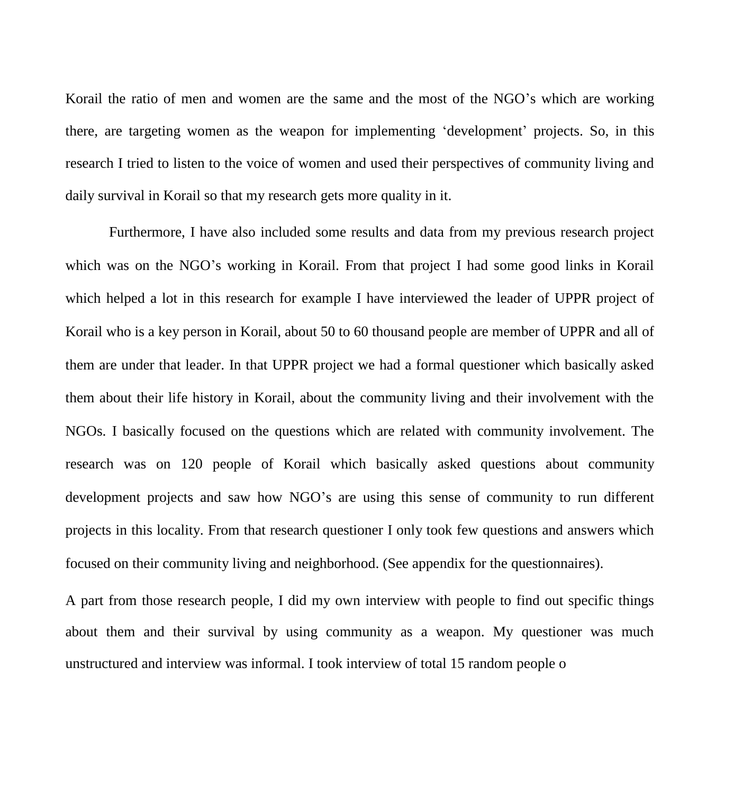Korail the ratio of men and women are the same and the most of the NGO's which are working there, are targeting women as the weapon for implementing 'development' projects. So, in this research I tried to listen to the voice of women and used their perspectives of community living and daily survival in Korail so that my research gets more quality in it.

Furthermore, I have also included some results and data from my previous research project which was on the NGO's working in Korail. From that project I had some good links in Korail which helped a lot in this research for example I have interviewed the leader of UPPR project of Korail who is a key person in Korail, about 50 to 60 thousand people are member of UPPR and all of them are under that leader. In that UPPR project we had a formal questioner which basically asked them about their life history in Korail, about the community living and their involvement with the NGOs. I basically focused on the questions which are related with community involvement. The research was on 120 people of Korail which basically asked questions about community development projects and saw how NGO's are using this sense of community to run different projects in this locality. From that research questioner I only took few questions and answers which focused on their community living and neighborhood. (See appendix for the questionnaires).

A part from those research people, I did my own interview with people to find out specific things about them and their survival by using community as a weapon. My questioner was much unstructured and interview was informal. I took interview of total 15 random people o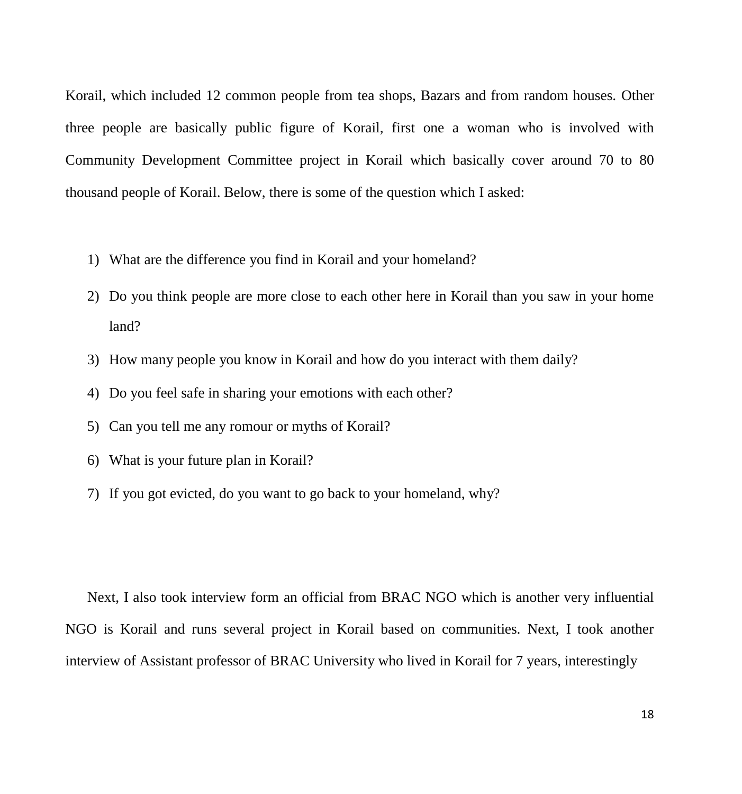Korail, which included 12 common people from tea shops, Bazars and from random houses. Other three people are basically public figure of Korail, first one a woman who is involved with Community Development Committee project in Korail which basically cover around 70 to 80 thousand people of Korail. Below, there is some of the question which I asked:

- 1) What are the difference you find in Korail and your homeland?
- 2) Do you think people are more close to each other here in Korail than you saw in your home land?
- 3) How many people you know in Korail and how do you interact with them daily?
- 4) Do you feel safe in sharing your emotions with each other?
- 5) Can you tell me any romour or myths of Korail?
- 6) What is your future plan in Korail?
- 7) If you got evicted, do you want to go back to your homeland, why?

Next, I also took interview form an official from BRAC NGO which is another very influential NGO is Korail and runs several project in Korail based on communities. Next, I took another interview of Assistant professor of BRAC University who lived in Korail for 7 years, interestingly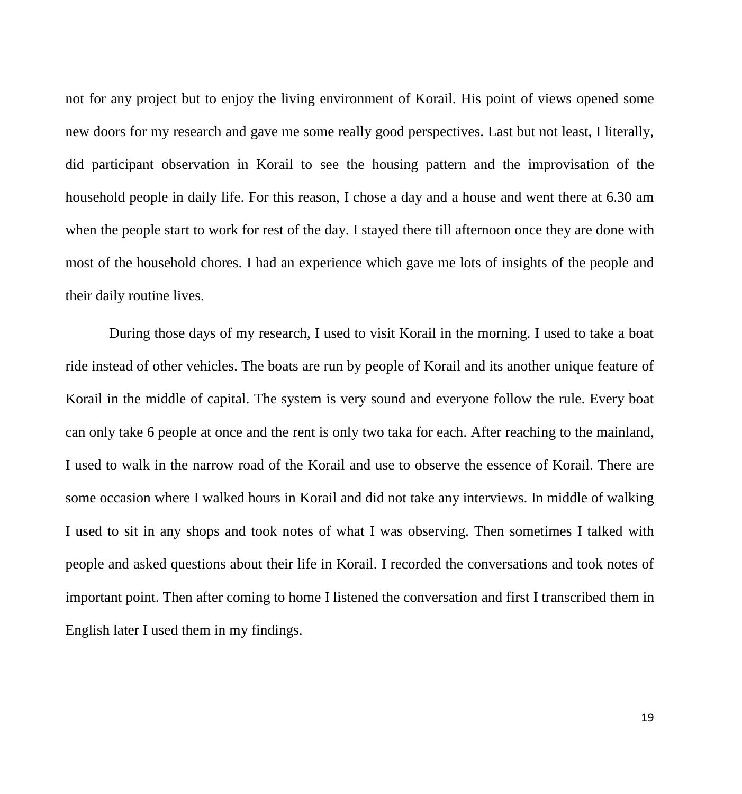not for any project but to enjoy the living environment of Korail. His point of views opened some new doors for my research and gave me some really good perspectives. Last but not least, I literally, did participant observation in Korail to see the housing pattern and the improvisation of the household people in daily life. For this reason, I chose a day and a house and went there at 6.30 am when the people start to work for rest of the day. I stayed there till afternoon once they are done with most of the household chores. I had an experience which gave me lots of insights of the people and their daily routine lives.

During those days of my research, I used to visit Korail in the morning. I used to take a boat ride instead of other vehicles. The boats are run by people of Korail and its another unique feature of Korail in the middle of capital. The system is very sound and everyone follow the rule. Every boat can only take 6 people at once and the rent is only two taka for each. After reaching to the mainland, I used to walk in the narrow road of the Korail and use to observe the essence of Korail. There are some occasion where I walked hours in Korail and did not take any interviews. In middle of walking I used to sit in any shops and took notes of what I was observing. Then sometimes I talked with people and asked questions about their life in Korail. I recorded the conversations and took notes of important point. Then after coming to home I listened the conversation and first I transcribed them in English later I used them in my findings.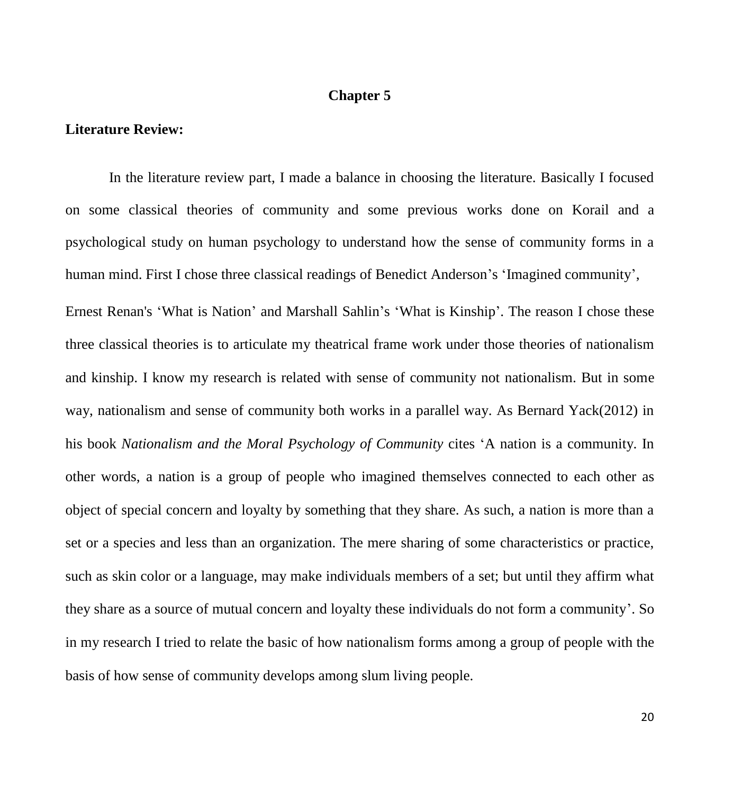# **Chapter 5**

# **Literature Review:**

In the literature review part, I made a balance in choosing the literature. Basically I focused on some classical theories of community and some previous works done on Korail and a psychological study on human psychology to understand how the sense of community forms in a human mind. First I chose three classical readings of Benedict Anderson's 'Imagined community', Ernest Renan's 'What is Nation' and Marshall Sahlin's 'What is Kinship'. The reason I chose these three classical theories is to articulate my theatrical frame work under those theories of nationalism and kinship. I know my research is related with sense of community not nationalism. But in some way, nationalism and sense of community both works in a parallel way. As Bernard Yack(2012) in his book *Nationalism and the Moral Psychology of Community* cites 'A nation is a community. In other words, a nation is a group of people who imagined themselves connected to each other as object of special concern and loyalty by something that they share. As such, a nation is more than a set or a species and less than an organization. The mere sharing of some characteristics or practice, such as skin color or a language, may make individuals members of a set; but until they affirm what they share as a source of mutual concern and loyalty these individuals do not form a community'. So in my research I tried to relate the basic of how nationalism forms among a group of people with the basis of how sense of community develops among slum living people.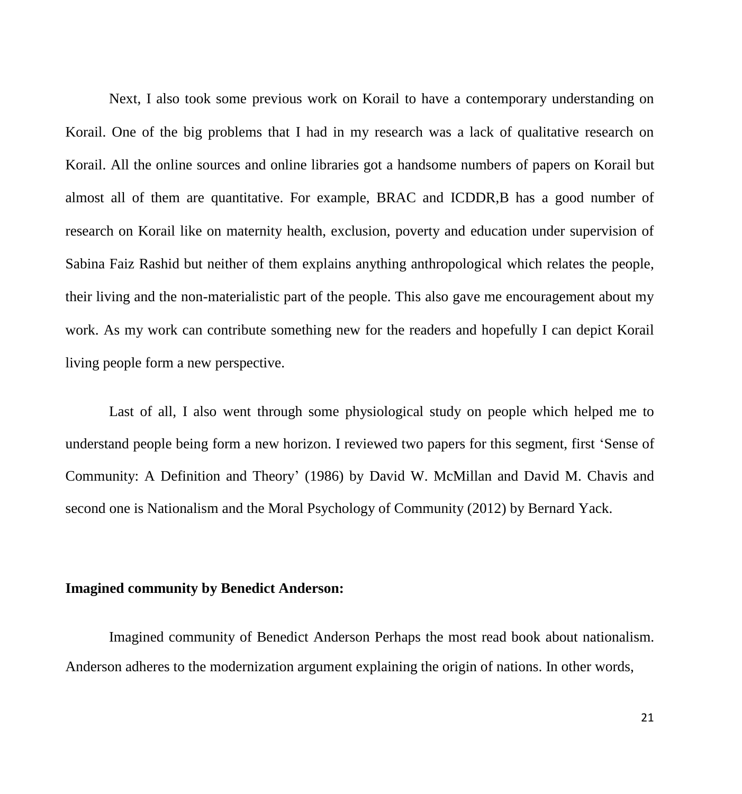Next, I also took some previous work on Korail to have a contemporary understanding on Korail. One of the big problems that I had in my research was a lack of qualitative research on Korail. All the online sources and online libraries got a handsome numbers of papers on Korail but almost all of them are quantitative. For example, BRAC and ICDDR,B has a good number of research on Korail like on maternity health, exclusion, poverty and education under supervision of Sabina Faiz Rashid but neither of them explains anything anthropological which relates the people, their living and the non-materialistic part of the people. This also gave me encouragement about my work. As my work can contribute something new for the readers and hopefully I can depict Korail living people form a new perspective.

Last of all, I also went through some physiological study on people which helped me to understand people being form a new horizon. I reviewed two papers for this segment, first 'Sense of Community: A Definition and Theory' (1986) by David W. McMillan and David M. Chavis and second one is Nationalism and the Moral Psychology of Community (2012) by Bernard Yack.

# **Imagined community by Benedict Anderson:**

Imagined community of Benedict Anderson Perhaps the most read book about nationalism. Anderson adheres to the modernization argument explaining the origin of nations. In other words,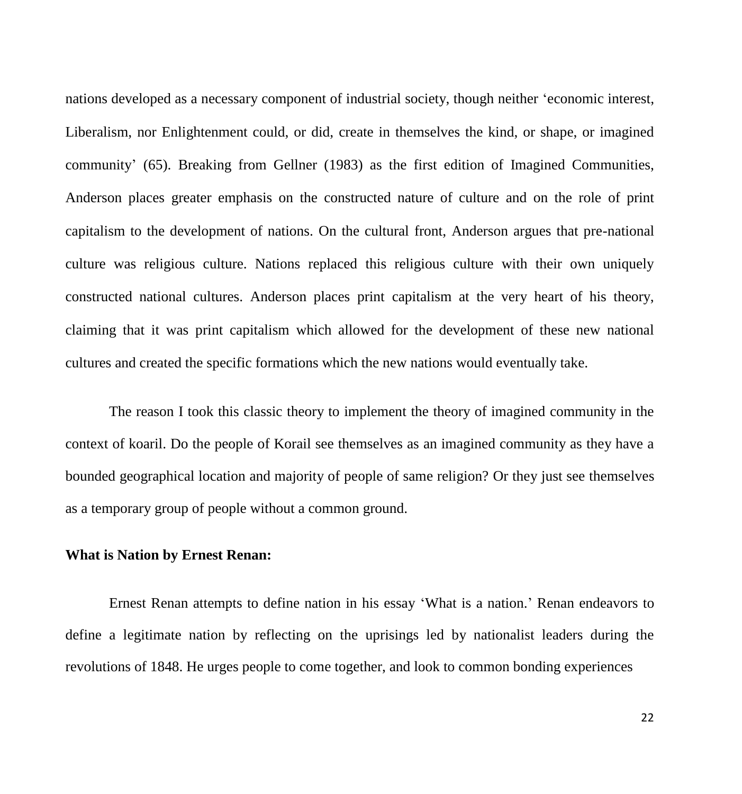nations developed as a necessary component of industrial society, though neither 'economic interest, Liberalism, nor Enlightenment could, or did, create in themselves the kind, or shape, or imagined community' (65). Breaking from Gellner (1983) as the first edition of Imagined Communities, Anderson places greater emphasis on the constructed nature of culture and on the role of print capitalism to the development of nations. On the cultural front, Anderson argues that pre-national culture was religious culture. Nations replaced this religious culture with their own uniquely constructed national cultures. Anderson places print capitalism at the very heart of his theory, claiming that it was print capitalism which allowed for the development of these new national cultures and created the specific formations which the new nations would eventually take.

The reason I took this classic theory to implement the theory of imagined community in the context of koaril. Do the people of Korail see themselves as an imagined community as they have a bounded geographical location and majority of people of same religion? Or they just see themselves as a temporary group of people without a common ground.

#### **What is Nation by Ernest Renan:**

Ernest Renan attempts to define nation in his essay 'What is a nation.' Renan endeavors to define a legitimate nation by reflecting on the uprisings led by nationalist leaders during the revolutions of 1848. He urges people to come together, and look to common bonding experiences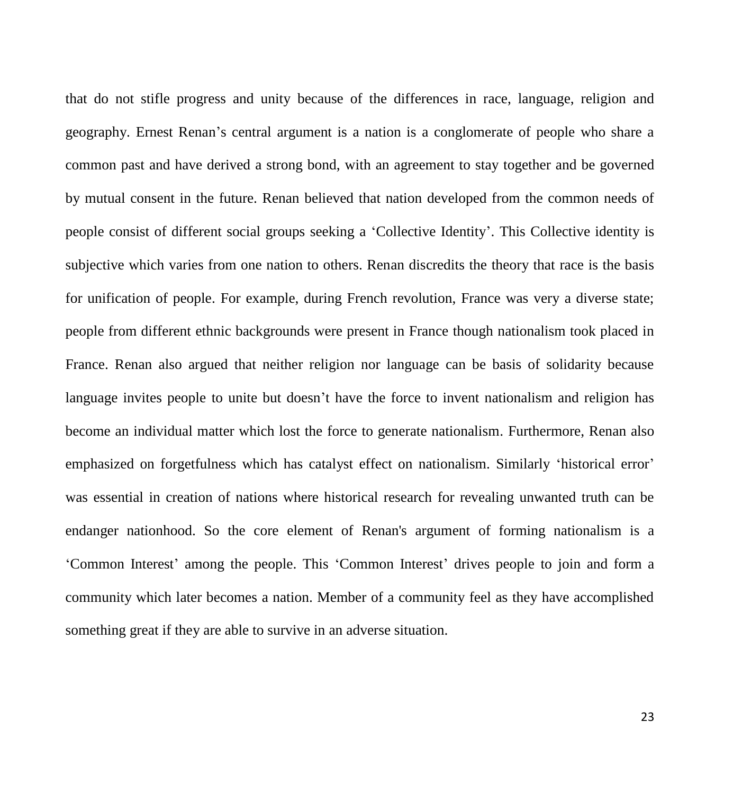that do not stifle progress and unity because of the differences in race, language, religion and geography. Ernest Renan's central argument is a nation is a conglomerate of people who share a common past and have derived a strong bond, with an agreement to stay together and be governed by mutual consent in the future. Renan believed that nation developed from the common needs of people consist of different social groups seeking a 'Collective Identity'. This Collective identity is subjective which varies from one nation to others. Renan discredits the theory that race is the basis for unification of people. For example, during French revolution, France was very a diverse state; people from different ethnic backgrounds were present in France though nationalism took placed in France. Renan also argued that neither religion nor language can be basis of solidarity because language invites people to unite but doesn't have the force to invent nationalism and religion has become an individual matter which lost the force to generate nationalism. Furthermore, Renan also emphasized on forgetfulness which has catalyst effect on nationalism. Similarly 'historical error' was essential in creation of nations where historical research for revealing unwanted truth can be endanger nationhood. So the core element of Renan's argument of forming nationalism is a 'Common Interest' among the people. This 'Common Interest' drives people to join and form a community which later becomes a nation. Member of a community feel as they have accomplished something great if they are able to survive in an adverse situation.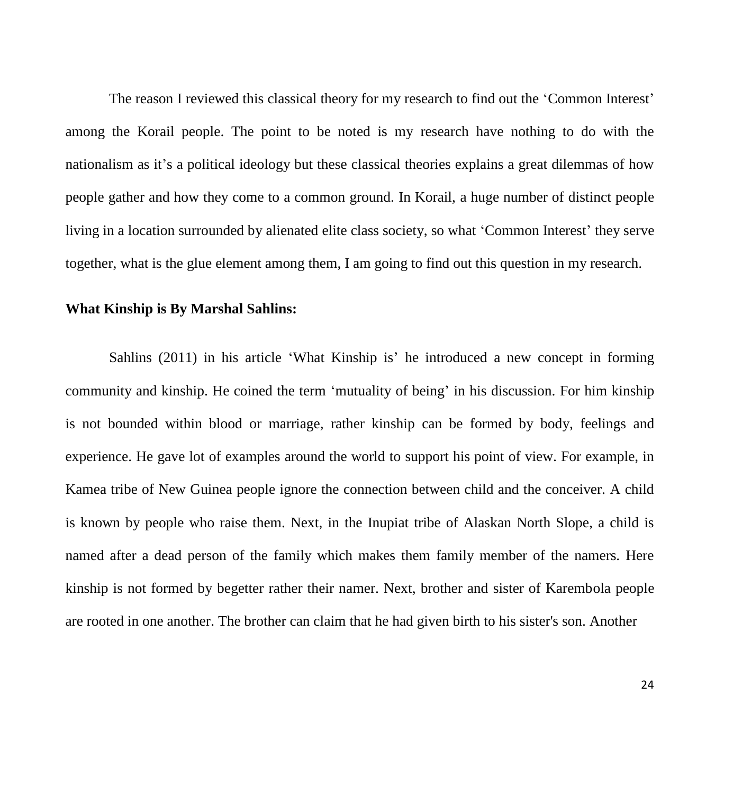The reason I reviewed this classical theory for my research to find out the 'Common Interest' among the Korail people. The point to be noted is my research have nothing to do with the nationalism as it's a political ideology but these classical theories explains a great dilemmas of how people gather and how they come to a common ground. In Korail, a huge number of distinct people living in a location surrounded by alienated elite class society, so what 'Common Interest' they serve together, what is the glue element among them, I am going to find out this question in my research.

#### **What Kinship is By Marshal Sahlins:**

Sahlins (2011) in his article 'What Kinship is' he introduced a new concept in forming community and kinship. He coined the term 'mutuality of being' in his discussion. For him kinship is not bounded within blood or marriage, rather kinship can be formed by body, feelings and experience. He gave lot of examples around the world to support his point of view. For example, in Kamea tribe of New Guinea people ignore the connection between child and the conceiver. A child is known by people who raise them. Next, in the Inupiat tribe of Alaskan North Slope, a child is named after a dead person of the family which makes them family member of the namers. Here kinship is not formed by begetter rather their namer. Next, brother and sister of Karembola people are rooted in one another. The brother can claim that he had given birth to his sister's son. Another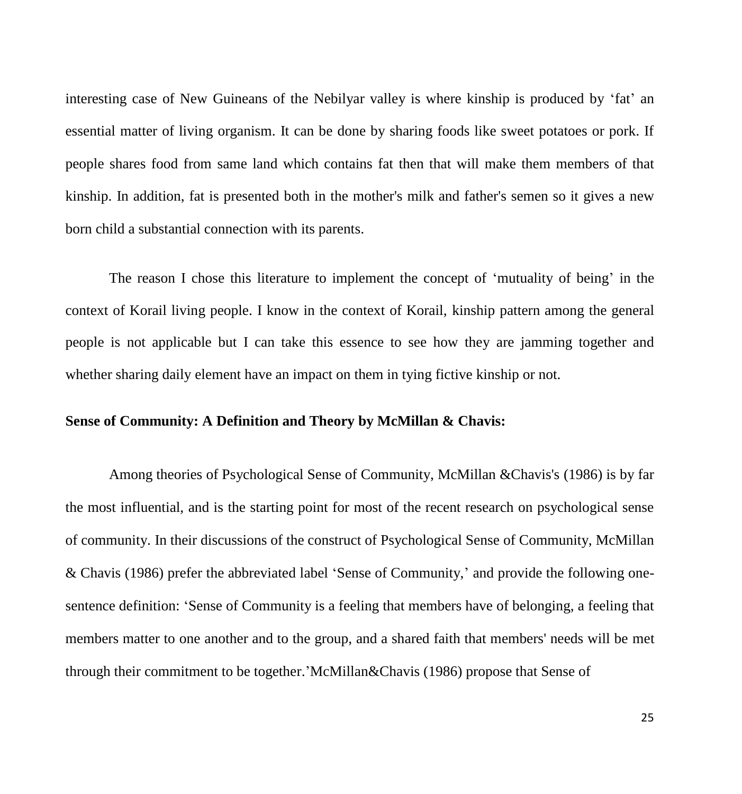interesting case of New Guineans of the Nebilyar valley is where kinship is produced by 'fat' an essential matter of living organism. It can be done by sharing foods like sweet potatoes or pork. If people shares food from same land which contains fat then that will make them members of that kinship. In addition, fat is presented both in the mother's milk and father's semen so it gives a new born child a substantial connection with its parents.

The reason I chose this literature to implement the concept of 'mutuality of being' in the context of Korail living people. I know in the context of Korail, kinship pattern among the general people is not applicable but I can take this essence to see how they are jamming together and whether sharing daily element have an impact on them in tying fictive kinship or not.

## **Sense of Community: A Definition and Theory by McMillan & Chavis:**

Among theories of Psychological Sense of Community, McMillan &Chavis's (1986) is by far the most influential, and is the starting point for most of the recent research on psychological sense of community. In their discussions of the construct of Psychological Sense of Community, McMillan & Chavis (1986) prefer the abbreviated label 'Sense of Community,' and provide the following onesentence definition: 'Sense of Community is a feeling that members have of belonging, a feeling that members matter to one another and to the group, and a shared faith that members' needs will be met through their commitment to be together.'McMillan&Chavis (1986) propose that Sense of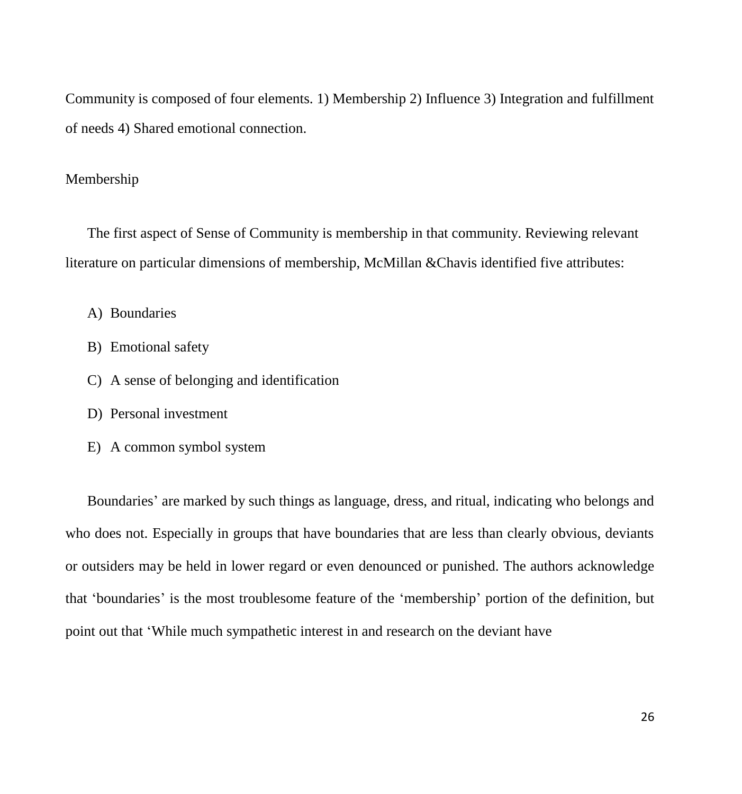Community is composed of four elements. 1) Membership 2) Influence 3) Integration and fulfillment of needs 4) Shared emotional connection.

# Membership

The first aspect of Sense of Community is membership in that community. Reviewing relevant literature on particular dimensions of membership, McMillan &Chavis identified five attributes:

A) Boundaries

- B) Emotional safety
- C) A sense of belonging and identification
- D) Personal investment
- E) A common symbol system

Boundaries' are marked by such things as language, dress, and ritual, indicating who belongs and who does not. Especially in groups that have boundaries that are less than clearly obvious, deviants or outsiders may be held in lower regard or even denounced or punished. The authors acknowledge that 'boundaries' is the most troublesome feature of the 'membership' portion of the definition, but point out that 'While much sympathetic interest in and research on the deviant have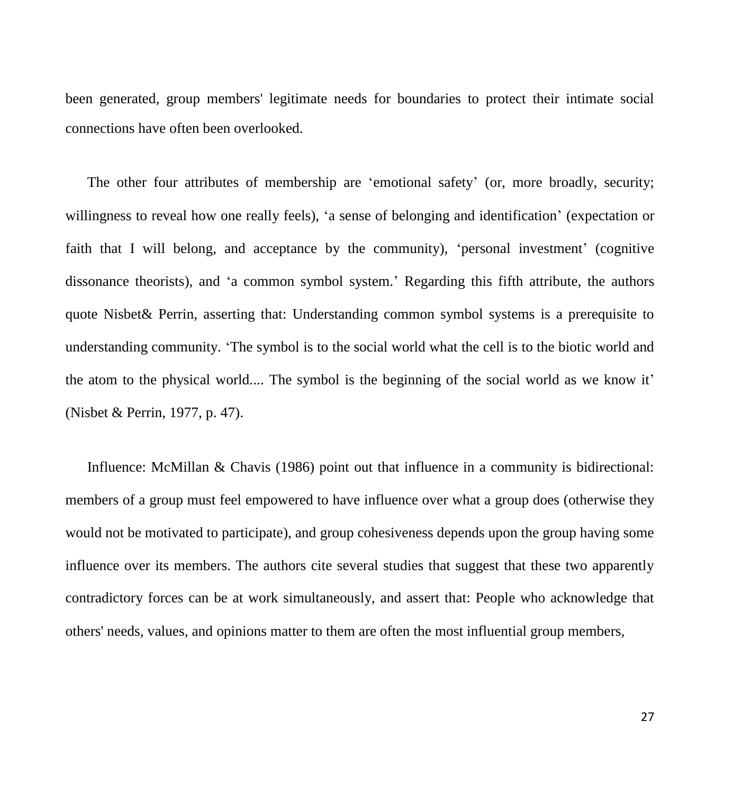been generated, group members' legitimate needs for boundaries to protect their intimate social connections have often been overlooked.

The other four attributes of membership are 'emotional safety' (or, more broadly, security; willingness to reveal how one really feels), 'a sense of belonging and identification' (expectation or faith that I will belong, and acceptance by the community), 'personal investment' (cognitive dissonance theorists), and 'a common symbol system.' Regarding this fifth attribute, the authors quote Nisbet& Perrin, asserting that: Understanding common symbol systems is a prerequisite to understanding community. 'The symbol is to the social world what the cell is to the biotic world and the atom to the physical world.... The symbol is the beginning of the social world as we know it' (Nisbet & Perrin, 1977, p. 47).

Influence: McMillan & Chavis (1986) point out that influence in a community is bidirectional: members of a group must feel empowered to have influence over what a group does (otherwise they would not be motivated to participate), and group cohesiveness depends upon the group having some influence over its members. The authors cite several studies that suggest that these two apparently contradictory forces can be at work simultaneously, and assert that: People who acknowledge that others' needs, values, and opinions matter to them are often the most influential group members,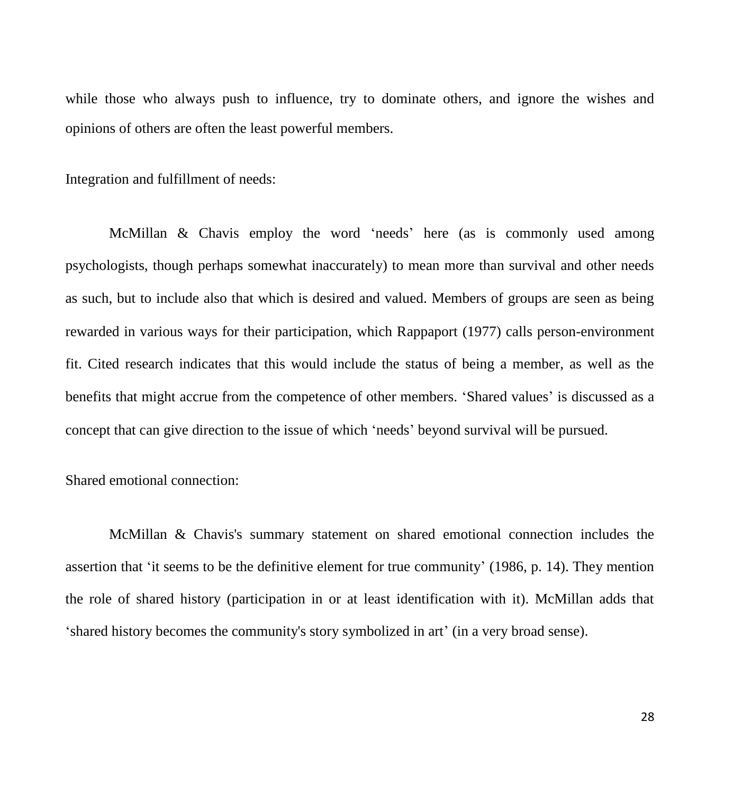while those who always push to influence, try to dominate others, and ignore the wishes and opinions of others are often the least powerful members.

Integration and fulfillment of needs:

McMillan & Chavis employ the word 'needs' here (as is commonly used among psychologists, though perhaps somewhat inaccurately) to mean more than survival and other needs as such, but to include also that which is desired and valued. Members of groups are seen as being rewarded in various ways for their participation, which Rappaport (1977) calls person-environment fit. Cited research indicates that this would include the status of being a member, as well as the benefits that might accrue from the competence of other members. 'Shared values' is discussed as a concept that can give direction to the issue of which 'needs' beyond survival will be pursued.

Shared emotional connection:

McMillan & Chavis's summary statement on shared emotional connection includes the assertion that 'it seems to be the definitive element for true community' (1986, p. 14). They mention the role of shared history (participation in or at least identification with it). McMillan adds that 'shared history becomes the community's story symbolized in art' (in a very broad sense).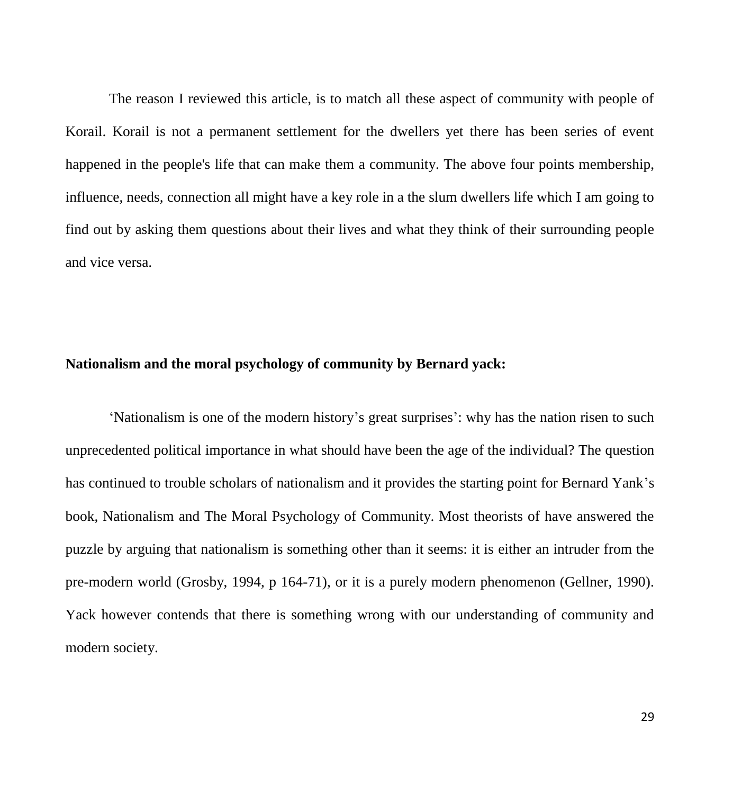The reason I reviewed this article, is to match all these aspect of community with people of Korail. Korail is not a permanent settlement for the dwellers yet there has been series of event happened in the people's life that can make them a community. The above four points membership, influence, needs, connection all might have a key role in a the slum dwellers life which I am going to find out by asking them questions about their lives and what they think of their surrounding people and vice versa.

#### **Nationalism and the moral psychology of community by Bernard yack:**

'Nationalism is one of the modern history's great surprises': why has the nation risen to such unprecedented political importance in what should have been the age of the individual? The question has continued to trouble scholars of nationalism and it provides the starting point for Bernard Yank's book, Nationalism and The Moral Psychology of Community. Most theorists of have answered the puzzle by arguing that nationalism is something other than it seems: it is either an intruder from the pre-modern world (Grosby, 1994, p 164-71), or it is a purely modern phenomenon (Gellner, 1990). Yack however contends that there is something wrong with our understanding of community and modern society.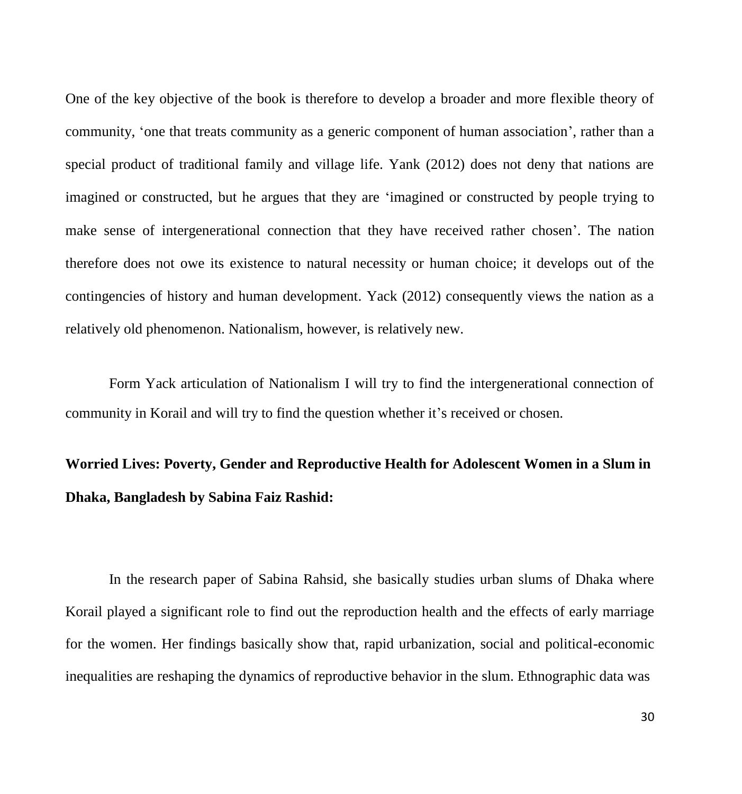One of the key objective of the book is therefore to develop a broader and more flexible theory of community, 'one that treats community as a generic component of human association', rather than a special product of traditional family and village life. Yank (2012) does not deny that nations are imagined or constructed, but he argues that they are 'imagined or constructed by people trying to make sense of intergenerational connection that they have received rather chosen'. The nation therefore does not owe its existence to natural necessity or human choice; it develops out of the contingencies of history and human development. Yack (2012) consequently views the nation as a relatively old phenomenon. Nationalism, however, is relatively new.

Form Yack articulation of Nationalism I will try to find the intergenerational connection of community in Korail and will try to find the question whether it's received or chosen.

# **Worried Lives: Poverty, Gender and Reproductive Health for Adolescent Women in a Slum in Dhaka, Bangladesh by Sabina Faiz Rashid:**

In the research paper of Sabina Rahsid, she basically studies urban slums of Dhaka where Korail played a significant role to find out the reproduction health and the effects of early marriage for the women. Her findings basically show that, rapid urbanization, social and political-economic inequalities are reshaping the dynamics of reproductive behavior in the slum. Ethnographic data was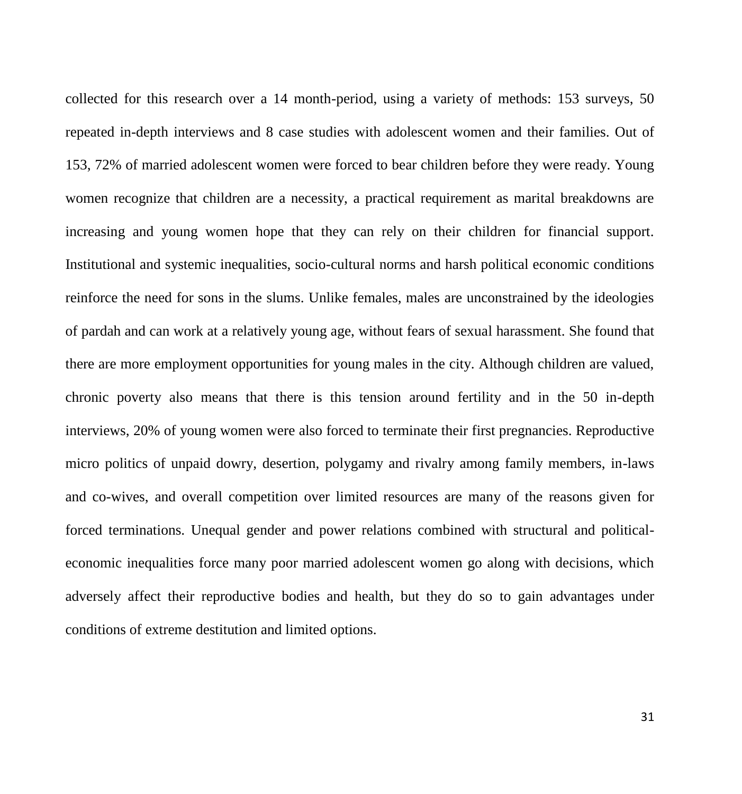collected for this research over a 14 month-period, using a variety of methods: 153 surveys, 50 repeated in-depth interviews and 8 case studies with adolescent women and their families. Out of 153, 72% of married adolescent women were forced to bear children before they were ready. Young women recognize that children are a necessity, a practical requirement as marital breakdowns are increasing and young women hope that they can rely on their children for financial support. Institutional and systemic inequalities, socio-cultural norms and harsh political economic conditions reinforce the need for sons in the slums. Unlike females, males are unconstrained by the ideologies of pardah and can work at a relatively young age, without fears of sexual harassment. She found that there are more employment opportunities for young males in the city. Although children are valued, chronic poverty also means that there is this tension around fertility and in the 50 in-depth interviews, 20% of young women were also forced to terminate their first pregnancies. Reproductive micro politics of unpaid dowry, desertion, polygamy and rivalry among family members, in-laws and co-wives, and overall competition over limited resources are many of the reasons given for forced terminations. Unequal gender and power relations combined with structural and politicaleconomic inequalities force many poor married adolescent women go along with decisions, which adversely affect their reproductive bodies and health, but they do so to gain advantages under conditions of extreme destitution and limited options.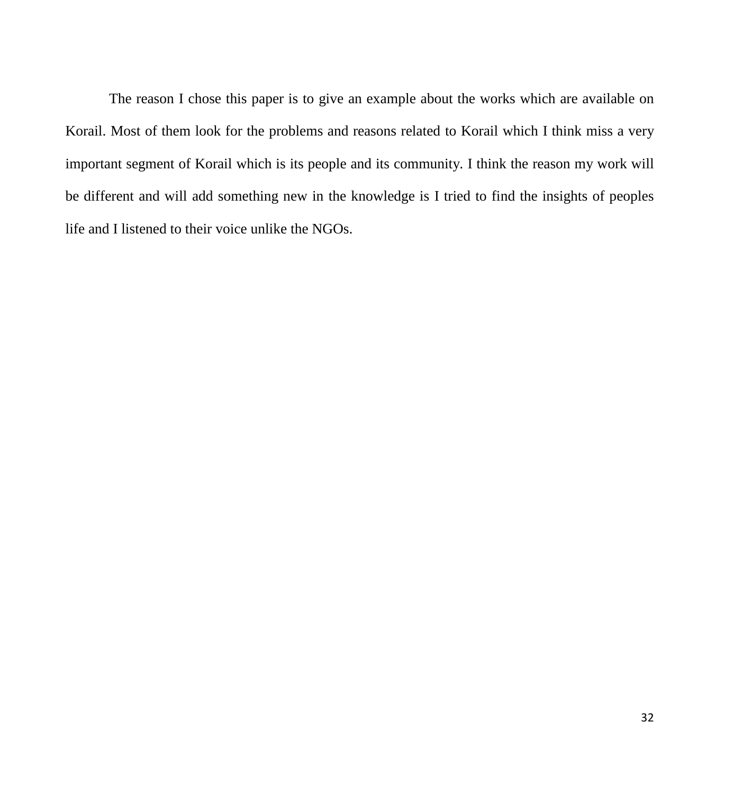The reason I chose this paper is to give an example about the works which are available on Korail. Most of them look for the problems and reasons related to Korail which I think miss a very important segment of Korail which is its people and its community. I think the reason my work will be different and will add something new in the knowledge is I tried to find the insights of peoples life and I listened to their voice unlike the NGOs.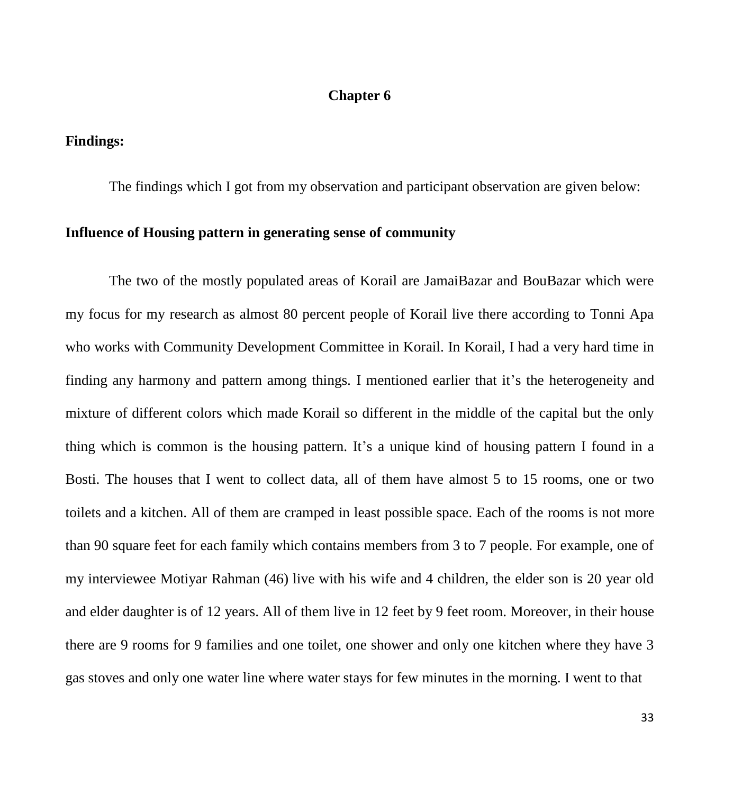# **Chapter 6**

# **Findings:**

The findings which I got from my observation and participant observation are given below:

#### **Influence of Housing pattern in generating sense of community**

The two of the mostly populated areas of Korail are JamaiBazar and BouBazar which were my focus for my research as almost 80 percent people of Korail live there according to Tonni Apa who works with Community Development Committee in Korail. In Korail, I had a very hard time in finding any harmony and pattern among things. I mentioned earlier that it's the heterogeneity and mixture of different colors which made Korail so different in the middle of the capital but the only thing which is common is the housing pattern. It's a unique kind of housing pattern I found in a Bosti. The houses that I went to collect data, all of them have almost 5 to 15 rooms, one or two toilets and a kitchen. All of them are cramped in least possible space. Each of the rooms is not more than 90 square feet for each family which contains members from 3 to 7 people. For example, one of my interviewee Motiyar Rahman (46) live with his wife and 4 children, the elder son is 20 year old and elder daughter is of 12 years. All of them live in 12 feet by 9 feet room. Moreover, in their house there are 9 rooms for 9 families and one toilet, one shower and only one kitchen where they have 3 gas stoves and only one water line where water stays for few minutes in the morning. I went to that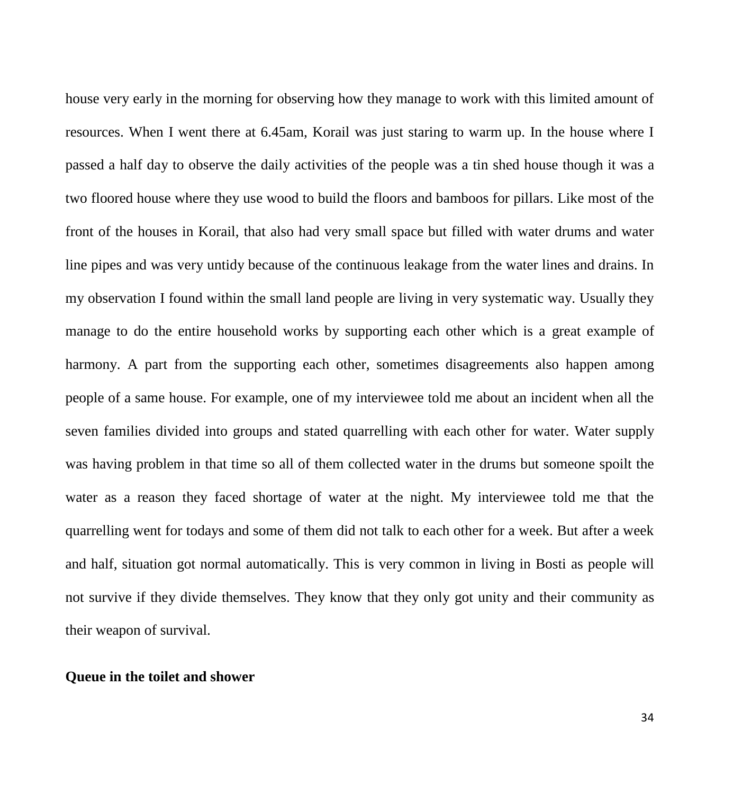house very early in the morning for observing how they manage to work with this limited amount of resources. When I went there at 6.45am, Korail was just staring to warm up. In the house where I passed a half day to observe the daily activities of the people was a tin shed house though it was a two floored house where they use wood to build the floors and bamboos for pillars. Like most of the front of the houses in Korail, that also had very small space but filled with water drums and water line pipes and was very untidy because of the continuous leakage from the water lines and drains. In my observation I found within the small land people are living in very systematic way. Usually they manage to do the entire household works by supporting each other which is a great example of harmony. A part from the supporting each other, sometimes disagreements also happen among people of a same house. For example, one of my interviewee told me about an incident when all the seven families divided into groups and stated quarrelling with each other for water. Water supply was having problem in that time so all of them collected water in the drums but someone spoilt the water as a reason they faced shortage of water at the night. My interviewee told me that the quarrelling went for todays and some of them did not talk to each other for a week. But after a week and half, situation got normal automatically. This is very common in living in Bosti as people will not survive if they divide themselves. They know that they only got unity and their community as their weapon of survival.

#### **Queue in the toilet and shower**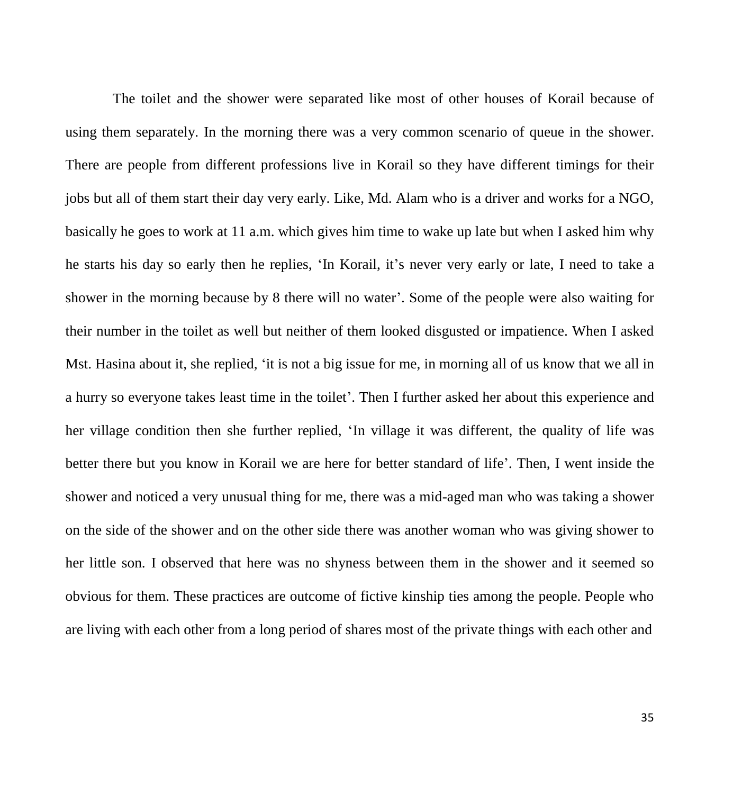The toilet and the shower were separated like most of other houses of Korail because of using them separately. In the morning there was a very common scenario of queue in the shower. There are people from different professions live in Korail so they have different timings for their jobs but all of them start their day very early. Like, Md. Alam who is a driver and works for a NGO, basically he goes to work at 11 a.m. which gives him time to wake up late but when I asked him why he starts his day so early then he replies, 'In Korail, it's never very early or late, I need to take a shower in the morning because by 8 there will no water'. Some of the people were also waiting for their number in the toilet as well but neither of them looked disgusted or impatience. When I asked Mst. Hasina about it, she replied, 'it is not a big issue for me, in morning all of us know that we all in a hurry so everyone takes least time in the toilet'. Then I further asked her about this experience and her village condition then she further replied, 'In village it was different, the quality of life was better there but you know in Korail we are here for better standard of life'. Then, I went inside the shower and noticed a very unusual thing for me, there was a mid-aged man who was taking a shower on the side of the shower and on the other side there was another woman who was giving shower to her little son. I observed that here was no shyness between them in the shower and it seemed so obvious for them. These practices are outcome of fictive kinship ties among the people. People who are living with each other from a long period of shares most of the private things with each other and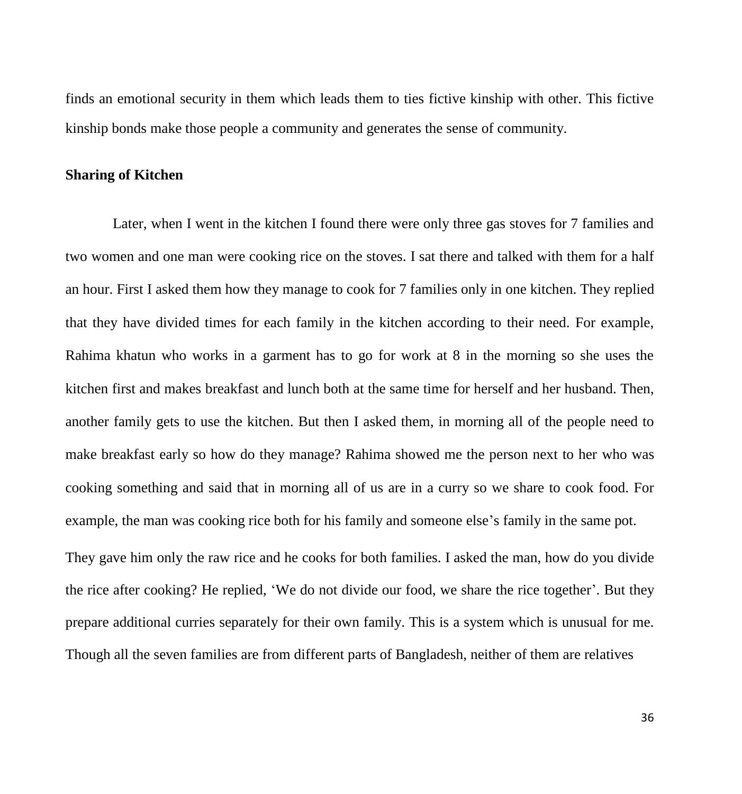finds an emotional security in them which leads them to ties fictive kinship with other. This fictive kinship bonds make those people a community and generates the sense of community.

# **Sharing of Kitchen**

Later, when I went in the kitchen I found there were only three gas stoves for 7 families and two women and one man were cooking rice on the stoves. I sat there and talked with them for a half an hour. First I asked them how they manage to cook for 7 families only in one kitchen. They replied that they have divided times for each family in the kitchen according to their need. For example, Rahima khatun who works in a garment has to go for work at 8 in the morning so she uses the kitchen first and makes breakfast and lunch both at the same time for herself and her husband. Then, another family gets to use the kitchen. But then I asked them, in morning all of the people need to make breakfast early so how do they manage? Rahima showed me the person next to her who was cooking something and said that in morning all of us are in a curry so we share to cook food. For example, the man was cooking rice both for his family and someone else's family in the same pot. They gave him only the raw rice and he cooks for both families. I asked the man, how do you divide

the rice after cooking? He replied, 'We do not divide our food, we share the rice together'. But they prepare additional curries separately for their own family. This is a system which is unusual for me. Though all the seven families are from different parts of Bangladesh, neither of them are relatives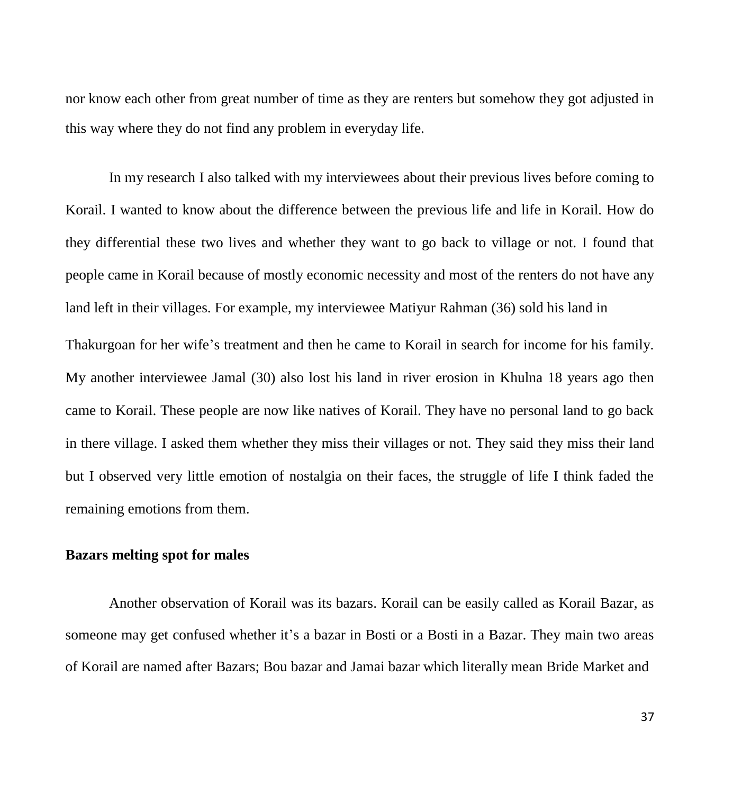nor know each other from great number of time as they are renters but somehow they got adjusted in this way where they do not find any problem in everyday life.

In my research I also talked with my interviewees about their previous lives before coming to Korail. I wanted to know about the difference between the previous life and life in Korail. How do they differential these two lives and whether they want to go back to village or not. I found that people came in Korail because of mostly economic necessity and most of the renters do not have any land left in their villages. For example, my interviewee Matiyur Rahman (36) sold his land in Thakurgoan for her wife's treatment and then he came to Korail in search for income for his family. My another interviewee Jamal (30) also lost his land in river erosion in Khulna 18 years ago then came to Korail. These people are now like natives of Korail. They have no personal land to go back in there village. I asked them whether they miss their villages or not. They said they miss their land but I observed very little emotion of nostalgia on their faces, the struggle of life I think faded the remaining emotions from them.

# **Bazars melting spot for males**

Another observation of Korail was its bazars. Korail can be easily called as Korail Bazar, as someone may get confused whether it's a bazar in Bosti or a Bosti in a Bazar. They main two areas of Korail are named after Bazars; Bou bazar and Jamai bazar which literally mean Bride Market and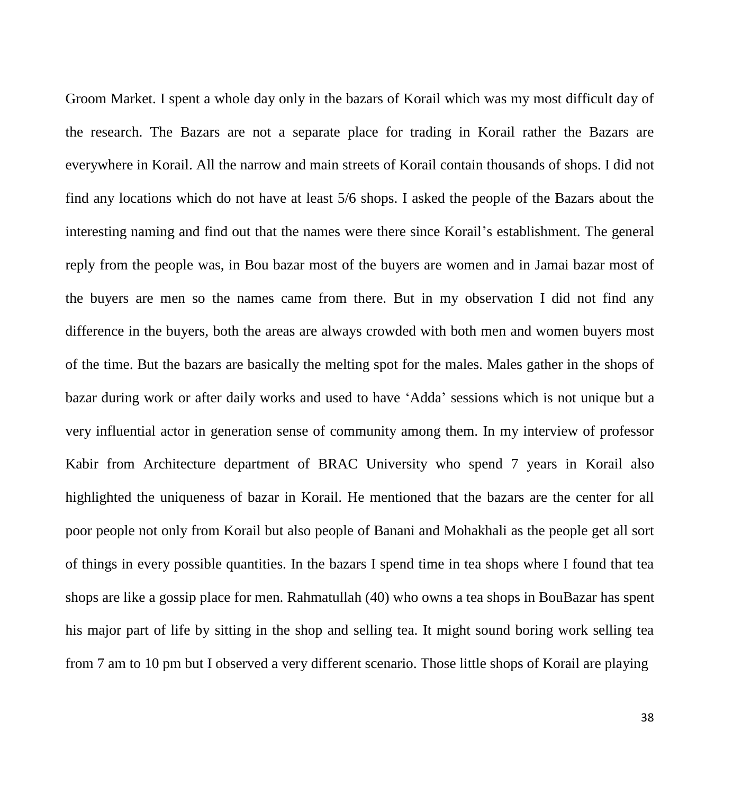Groom Market. I spent a whole day only in the bazars of Korail which was my most difficult day of the research. The Bazars are not a separate place for trading in Korail rather the Bazars are everywhere in Korail. All the narrow and main streets of Korail contain thousands of shops. I did not find any locations which do not have at least 5/6 shops. I asked the people of the Bazars about the interesting naming and find out that the names were there since Korail's establishment. The general reply from the people was, in Bou bazar most of the buyers are women and in Jamai bazar most of the buyers are men so the names came from there. But in my observation I did not find any difference in the buyers, both the areas are always crowded with both men and women buyers most of the time. But the bazars are basically the melting spot for the males. Males gather in the shops of bazar during work or after daily works and used to have 'Adda' sessions which is not unique but a very influential actor in generation sense of community among them. In my interview of professor Kabir from Architecture department of BRAC University who spend 7 years in Korail also highlighted the uniqueness of bazar in Korail. He mentioned that the bazars are the center for all poor people not only from Korail but also people of Banani and Mohakhali as the people get all sort of things in every possible quantities. In the bazars I spend time in tea shops where I found that tea shops are like a gossip place for men. Rahmatullah (40) who owns a tea shops in BouBazar has spent his major part of life by sitting in the shop and selling tea. It might sound boring work selling tea from 7 am to 10 pm but I observed a very different scenario. Those little shops of Korail are playing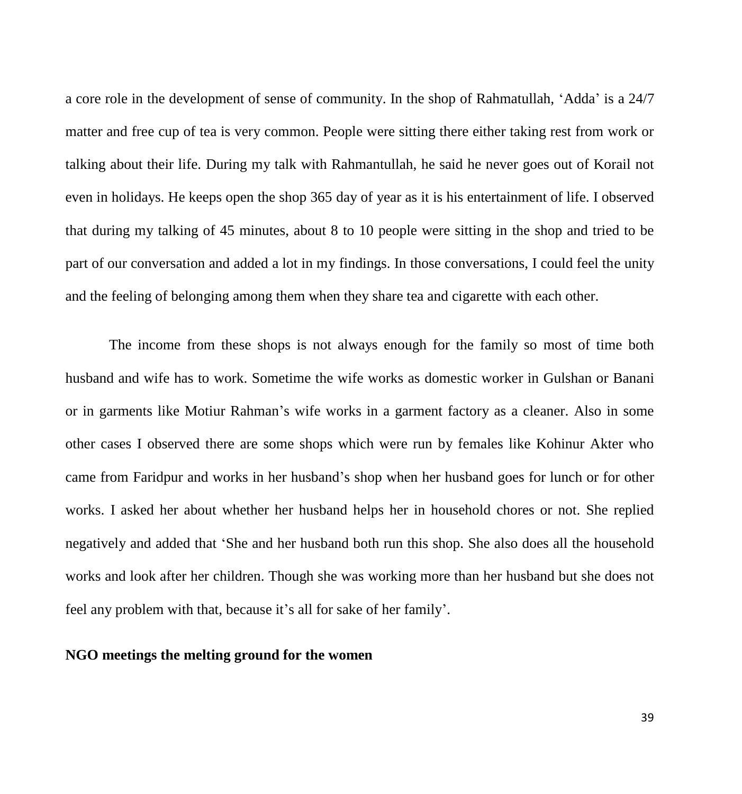a core role in the development of sense of community. In the shop of Rahmatullah, 'Adda' is a 24/7 matter and free cup of tea is very common. People were sitting there either taking rest from work or talking about their life. During my talk with Rahmantullah, he said he never goes out of Korail not even in holidays. He keeps open the shop 365 day of year as it is his entertainment of life. I observed that during my talking of 45 minutes, about 8 to 10 people were sitting in the shop and tried to be part of our conversation and added a lot in my findings. In those conversations, I could feel the unity and the feeling of belonging among them when they share tea and cigarette with each other.

The income from these shops is not always enough for the family so most of time both husband and wife has to work. Sometime the wife works as domestic worker in Gulshan or Banani or in garments like Motiur Rahman's wife works in a garment factory as a cleaner. Also in some other cases I observed there are some shops which were run by females like Kohinur Akter who came from Faridpur and works in her husband's shop when her husband goes for lunch or for other works. I asked her about whether her husband helps her in household chores or not. She replied negatively and added that 'She and her husband both run this shop. She also does all the household works and look after her children. Though she was working more than her husband but she does not feel any problem with that, because it's all for sake of her family'.

#### **NGO meetings the melting ground for the women**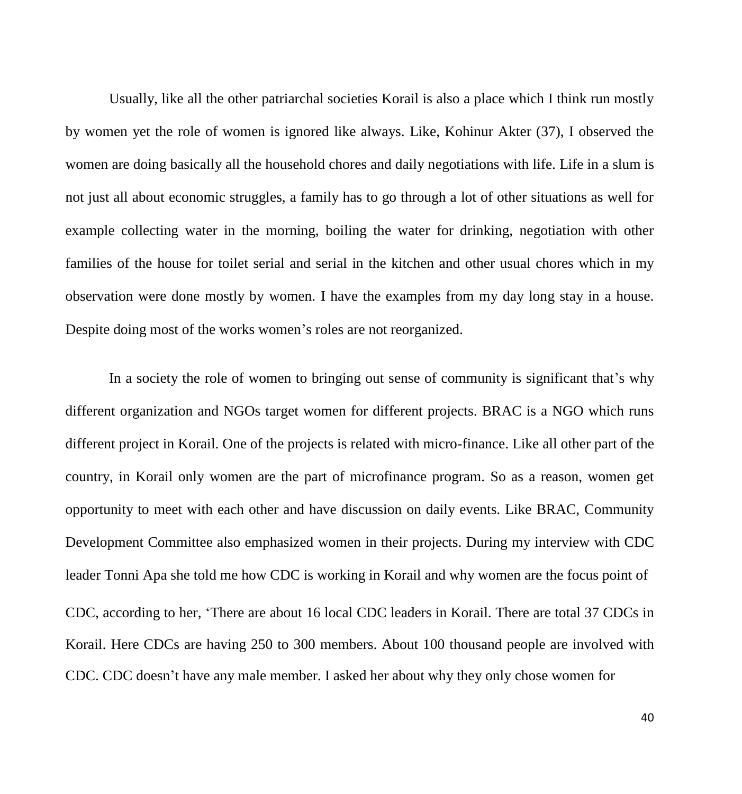Usually, like all the other patriarchal societies Korail is also a place which I think run mostly by women yet the role of women is ignored like always. Like, Kohinur Akter (37), I observed the women are doing basically all the household chores and daily negotiations with life. Life in a slum is not just all about economic struggles, a family has to go through a lot of other situations as well for example collecting water in the morning, boiling the water for drinking, negotiation with other families of the house for toilet serial and serial in the kitchen and other usual chores which in my observation were done mostly by women. I have the examples from my day long stay in a house. Despite doing most of the works women's roles are not reorganized.

In a society the role of women to bringing out sense of community is significant that's why different organization and NGOs target women for different projects. BRAC is a NGO which runs different project in Korail. One of the projects is related with micro-finance. Like all other part of the country, in Korail only women are the part of microfinance program. So as a reason, women get opportunity to meet with each other and have discussion on daily events. Like BRAC, Community Development Committee also emphasized women in their projects. During my interview with CDC leader Tonni Apa she told me how CDC is working in Korail and why women are the focus point of CDC, according to her, 'There are about 16 local CDC leaders in Korail. There are total 37 CDCs in Korail. Here CDCs are having 250 to 300 members. About 100 thousand people are involved with CDC. CDC doesn't have any male member. I asked her about why they only chose women for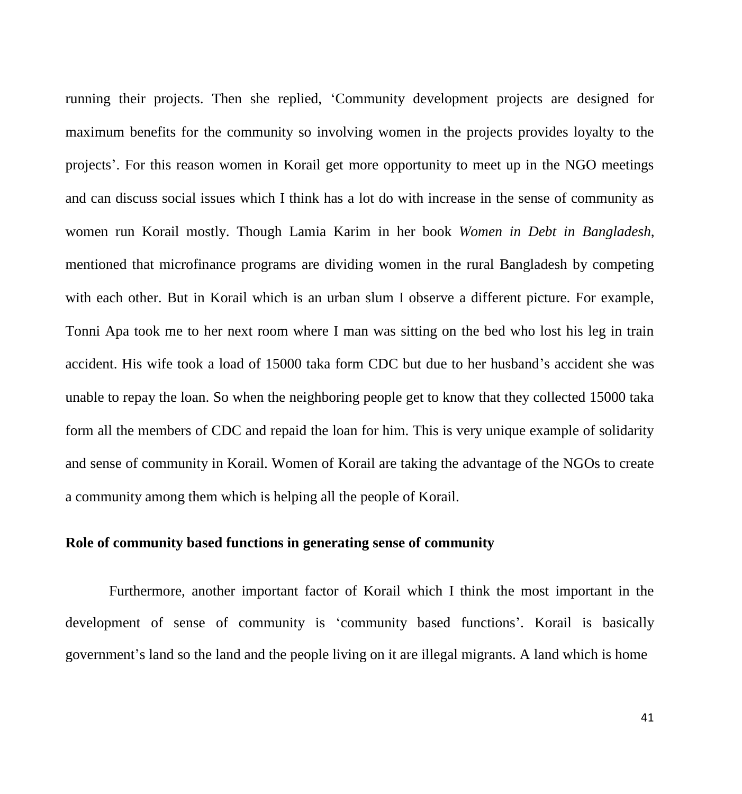running their projects. Then she replied, 'Community development projects are designed for maximum benefits for the community so involving women in the projects provides loyalty to the projects'. For this reason women in Korail get more opportunity to meet up in the NGO meetings and can discuss social issues which I think has a lot do with increase in the sense of community as women run Korail mostly. Though Lamia Karim in her book *Women in Debt in Bangladesh*, mentioned that microfinance programs are dividing women in the rural Bangladesh by competing with each other. But in Korail which is an urban slum I observe a different picture. For example, Tonni Apa took me to her next room where I man was sitting on the bed who lost his leg in train accident. His wife took a load of 15000 taka form CDC but due to her husband's accident she was unable to repay the loan. So when the neighboring people get to know that they collected 15000 taka form all the members of CDC and repaid the loan for him. This is very unique example of solidarity and sense of community in Korail. Women of Korail are taking the advantage of the NGOs to create a community among them which is helping all the people of Korail.

# **Role of community based functions in generating sense of community**

Furthermore, another important factor of Korail which I think the most important in the development of sense of community is 'community based functions'. Korail is basically government's land so the land and the people living on it are illegal migrants. A land which is home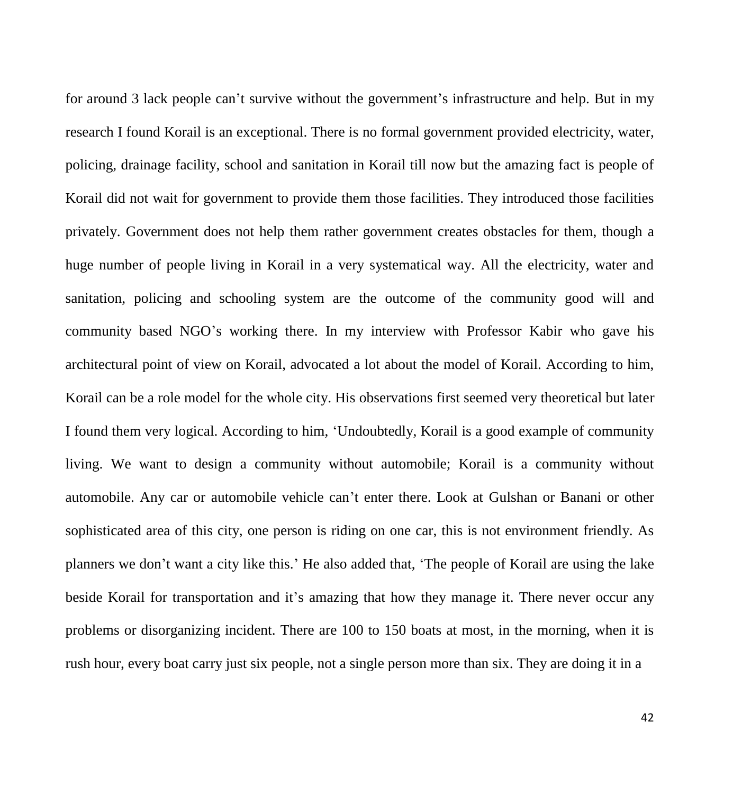for around 3 lack people can't survive without the government's infrastructure and help. But in my research I found Korail is an exceptional. There is no formal government provided electricity, water, policing, drainage facility, school and sanitation in Korail till now but the amazing fact is people of Korail did not wait for government to provide them those facilities. They introduced those facilities privately. Government does not help them rather government creates obstacles for them, though a huge number of people living in Korail in a very systematical way. All the electricity, water and sanitation, policing and schooling system are the outcome of the community good will and community based NGO's working there. In my interview with Professor Kabir who gave his architectural point of view on Korail, advocated a lot about the model of Korail. According to him, Korail can be a role model for the whole city. His observations first seemed very theoretical but later I found them very logical. According to him, 'Undoubtedly, Korail is a good example of community living. We want to design a community without automobile; Korail is a community without automobile. Any car or automobile vehicle can't enter there. Look at Gulshan or Banani or other sophisticated area of this city, one person is riding on one car, this is not environment friendly. As planners we don't want a city like this.' He also added that, 'The people of Korail are using the lake beside Korail for transportation and it's amazing that how they manage it. There never occur any problems or disorganizing incident. There are 100 to 150 boats at most, in the morning, when it is rush hour, every boat carry just six people, not a single person more than six. They are doing it in a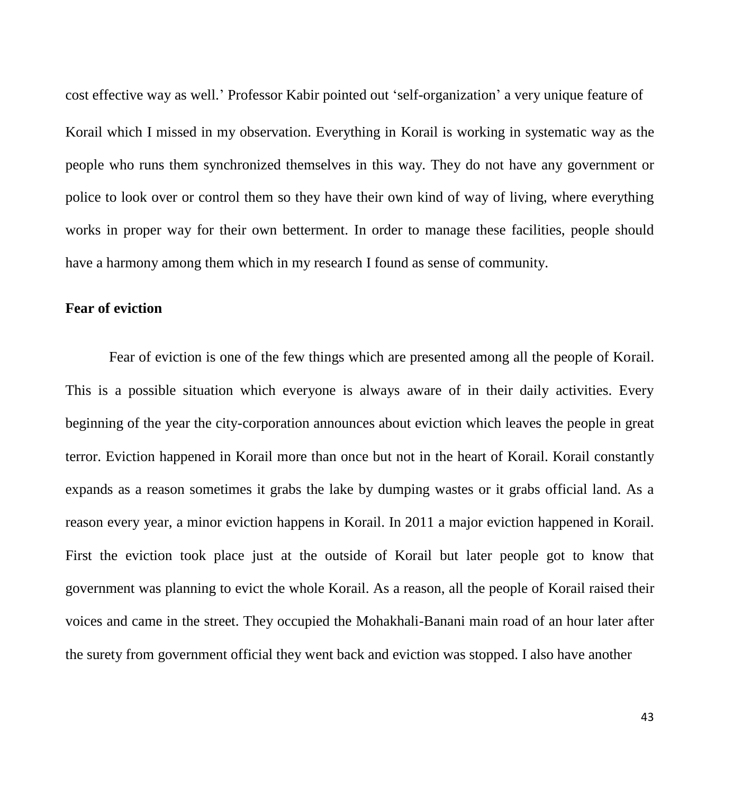cost effective way as well.' Professor Kabir pointed out 'self-organization' a very unique feature of Korail which I missed in my observation. Everything in Korail is working in systematic way as the people who runs them synchronized themselves in this way. They do not have any government or police to look over or control them so they have their own kind of way of living, where everything works in proper way for their own betterment. In order to manage these facilities, people should have a harmony among them which in my research I found as sense of community.

#### **Fear of eviction**

Fear of eviction is one of the few things which are presented among all the people of Korail. This is a possible situation which everyone is always aware of in their daily activities. Every beginning of the year the city-corporation announces about eviction which leaves the people in great terror. Eviction happened in Korail more than once but not in the heart of Korail. Korail constantly expands as a reason sometimes it grabs the lake by dumping wastes or it grabs official land. As a reason every year, a minor eviction happens in Korail. In 2011 a major eviction happened in Korail. First the eviction took place just at the outside of Korail but later people got to know that government was planning to evict the whole Korail. As a reason, all the people of Korail raised their voices and came in the street. They occupied the Mohakhali-Banani main road of an hour later after the surety from government official they went back and eviction was stopped. I also have another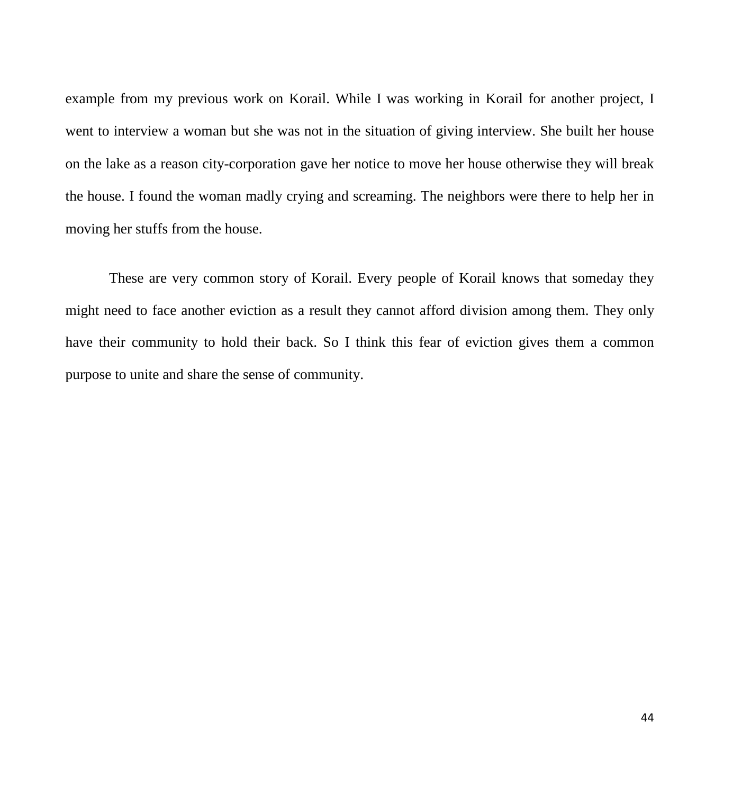example from my previous work on Korail. While I was working in Korail for another project, I went to interview a woman but she was not in the situation of giving interview. She built her house on the lake as a reason city-corporation gave her notice to move her house otherwise they will break the house. I found the woman madly crying and screaming. The neighbors were there to help her in moving her stuffs from the house.

These are very common story of Korail. Every people of Korail knows that someday they might need to face another eviction as a result they cannot afford division among them. They only have their community to hold their back. So I think this fear of eviction gives them a common purpose to unite and share the sense of community.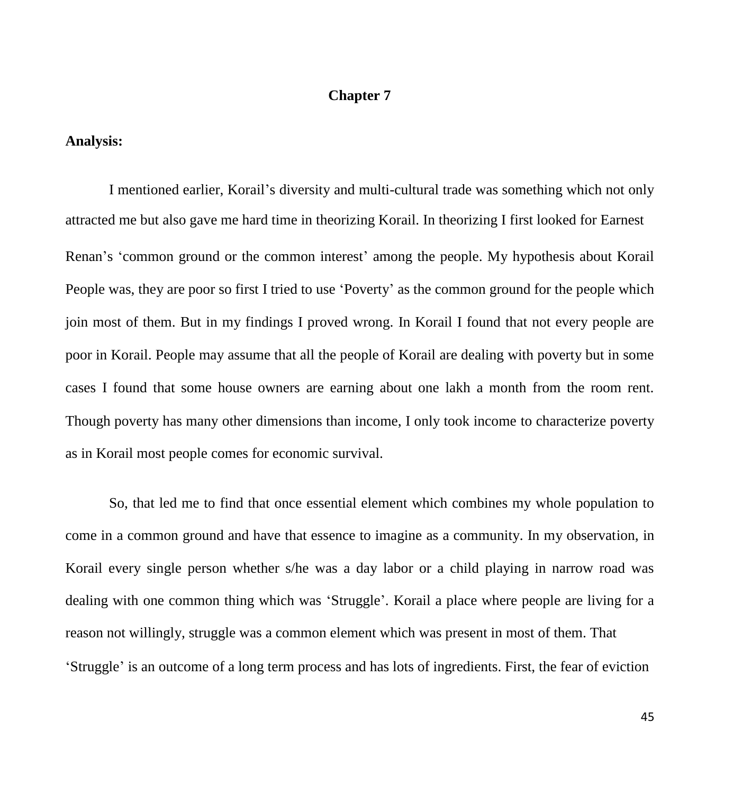#### **Chapter 7**

#### **Analysis:**

I mentioned earlier, Korail's diversity and multi-cultural trade was something which not only attracted me but also gave me hard time in theorizing Korail. In theorizing I first looked for Earnest Renan's 'common ground or the common interest' among the people. My hypothesis about Korail People was, they are poor so first I tried to use 'Poverty' as the common ground for the people which join most of them. But in my findings I proved wrong. In Korail I found that not every people are poor in Korail. People may assume that all the people of Korail are dealing with poverty but in some cases I found that some house owners are earning about one lakh a month from the room rent. Though poverty has many other dimensions than income, I only took income to characterize poverty as in Korail most people comes for economic survival.

So, that led me to find that once essential element which combines my whole population to come in a common ground and have that essence to imagine as a community. In my observation, in Korail every single person whether s/he was a day labor or a child playing in narrow road was dealing with one common thing which was 'Struggle'. Korail a place where people are living for a reason not willingly, struggle was a common element which was present in most of them. That 'Struggle' is an outcome of a long term process and has lots of ingredients. First, the fear of eviction

45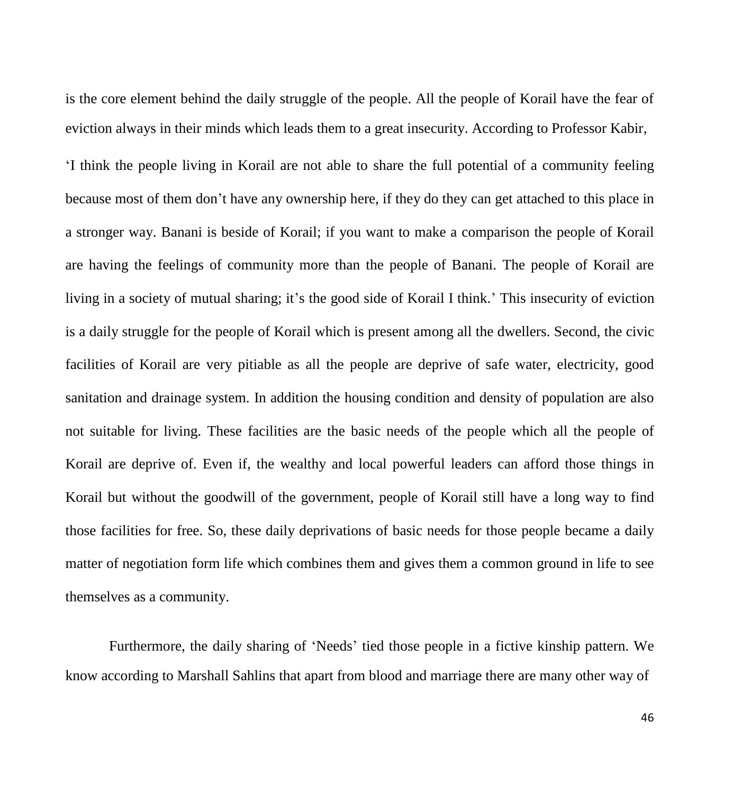is the core element behind the daily struggle of the people. All the people of Korail have the fear of eviction always in their minds which leads them to a great insecurity. According to Professor Kabir,

'I think the people living in Korail are not able to share the full potential of a community feeling because most of them don't have any ownership here, if they do they can get attached to this place in a stronger way. Banani is beside of Korail; if you want to make a comparison the people of Korail are having the feelings of community more than the people of Banani. The people of Korail are living in a society of mutual sharing; it's the good side of Korail I think.' This insecurity of eviction is a daily struggle for the people of Korail which is present among all the dwellers. Second, the civic facilities of Korail are very pitiable as all the people are deprive of safe water, electricity, good sanitation and drainage system. In addition the housing condition and density of population are also not suitable for living. These facilities are the basic needs of the people which all the people of Korail are deprive of. Even if, the wealthy and local powerful leaders can afford those things in Korail but without the goodwill of the government, people of Korail still have a long way to find those facilities for free. So, these daily deprivations of basic needs for those people became a daily matter of negotiation form life which combines them and gives them a common ground in life to see themselves as a community.

Furthermore, the daily sharing of 'Needs' tied those people in a fictive kinship pattern. We know according to Marshall Sahlins that apart from blood and marriage there are many other way of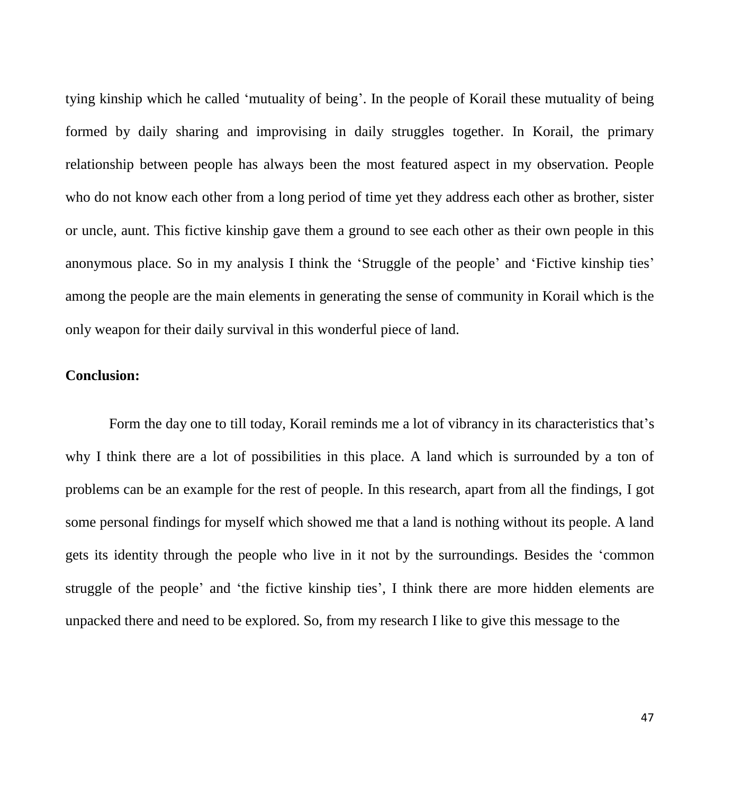tying kinship which he called 'mutuality of being'. In the people of Korail these mutuality of being formed by daily sharing and improvising in daily struggles together. In Korail, the primary relationship between people has always been the most featured aspect in my observation. People who do not know each other from a long period of time yet they address each other as brother, sister or uncle, aunt. This fictive kinship gave them a ground to see each other as their own people in this anonymous place. So in my analysis I think the 'Struggle of the people' and 'Fictive kinship ties' among the people are the main elements in generating the sense of community in Korail which is the only weapon for their daily survival in this wonderful piece of land.

# **Conclusion:**

Form the day one to till today, Korail reminds me a lot of vibrancy in its characteristics that's why I think there are a lot of possibilities in this place. A land which is surrounded by a ton of problems can be an example for the rest of people. In this research, apart from all the findings, I got some personal findings for myself which showed me that a land is nothing without its people. A land gets its identity through the people who live in it not by the surroundings. Besides the 'common struggle of the people' and 'the fictive kinship ties', I think there are more hidden elements are unpacked there and need to be explored. So, from my research I like to give this message to the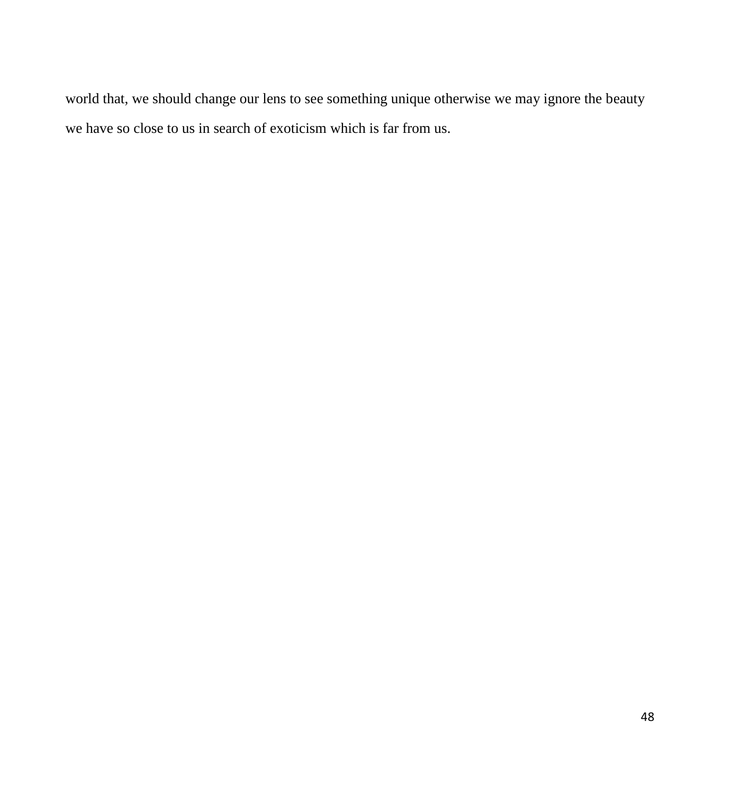world that, we should change our lens to see something unique otherwise we may ignore the beauty we have so close to us in search of exoticism which is far from us.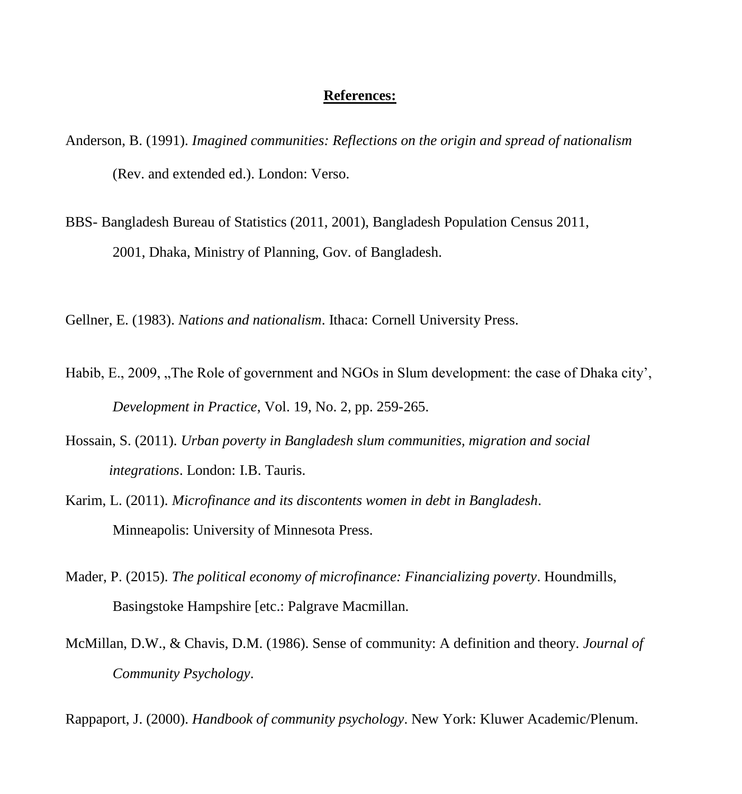#### **References:**

- Anderson, B. (1991). *Imagined communities: Reflections on the origin and spread of nationalism* (Rev. and extended ed.). London: Verso.
- BBS- Bangladesh Bureau of Statistics (2011, 2001), Bangladesh Population Census 2011, 2001, Dhaka, Ministry of Planning, Gov. of Bangladesh.

Gellner, E. (1983). *Nations and nationalism*. Ithaca: Cornell University Press.

- Habib, E., 2009, "The Role of government and NGOs in Slum development: the case of Dhaka city', *Development in Practice*, Vol. 19, No. 2, pp. 259-265.
- Hossain, S. (2011). *Urban poverty in Bangladesh slum communities, migration and social integrations*. London: I.B. Tauris.
- Karim, L. (2011). *Microfinance and its discontents women in debt in Bangladesh*. Minneapolis: University of Minnesota Press.
- Mader, P. (2015). *The political economy of microfinance: Financializing poverty*. Houndmills, Basingstoke Hampshire [etc.: Palgrave Macmillan.
- McMillan, D.W., & Chavis, D.M. (1986). Sense of community: A definition and theory. *Journal of Community Psychology*.

Rappaport, J. (2000). *Handbook of community psychology*. New York: Kluwer Academic/Plenum.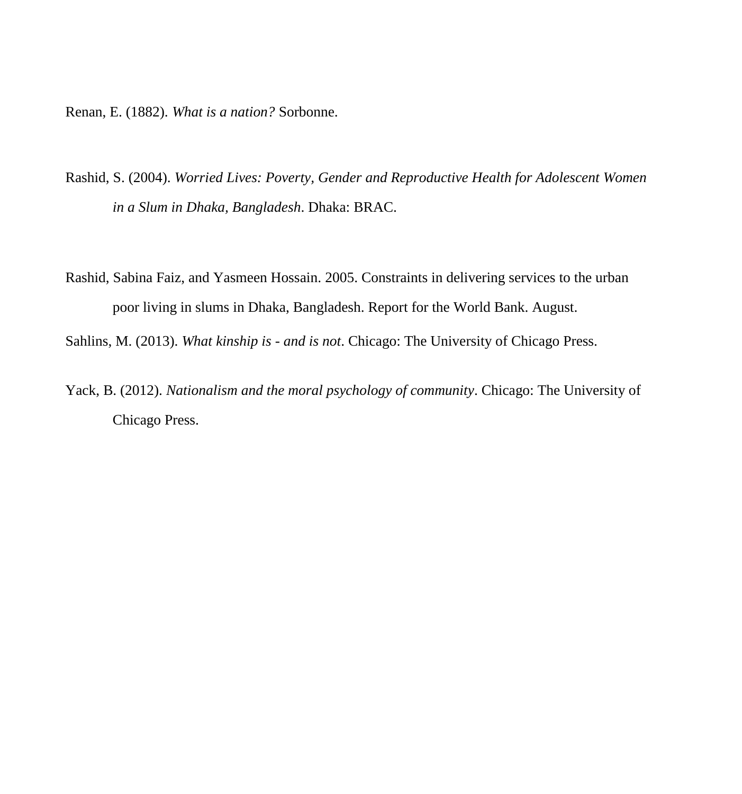Renan, E. (1882). *What is a nation?* Sorbonne.

- Rashid, S. (2004). *Worried Lives: Poverty, Gender and Reproductive Health for Adolescent Women in a Slum in Dhaka, Bangladesh*. Dhaka: BRAC.
- Rashid, Sabina Faiz, and Yasmeen Hossain. 2005. Constraints in delivering services to the urban poor living in slums in Dhaka, Bangladesh. Report for the World Bank. August.
- Sahlins, M. (2013). *What kinship is - and is not*. Chicago: The University of Chicago Press.
- Yack, B. (2012). *Nationalism and the moral psychology of community*. Chicago: The University of Chicago Press.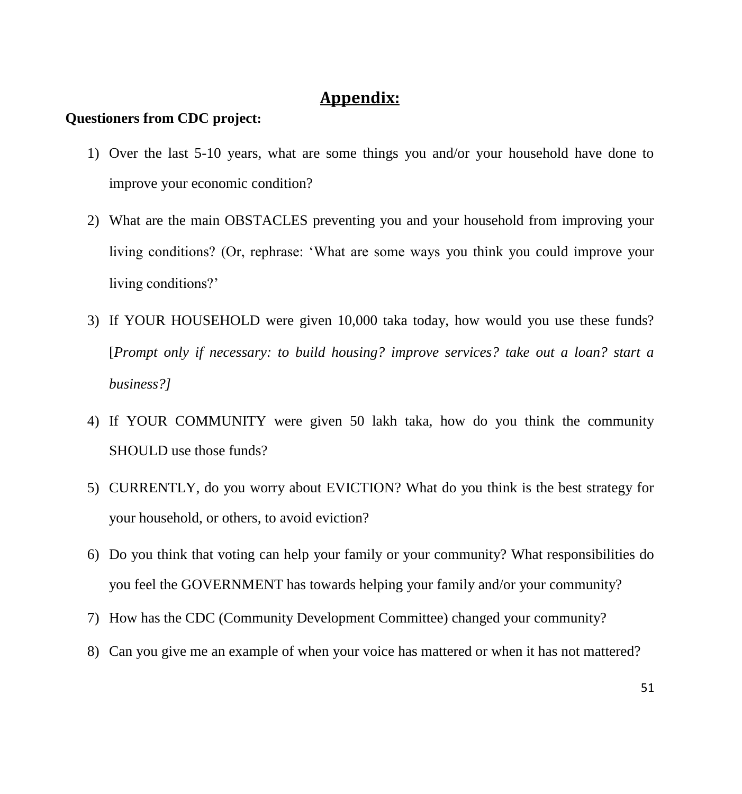# **Appendix:**

# **Questioners from CDC project:**

- 1) Over the last 5-10 years, what are some things you and/or your household have done to improve your economic condition?
- 2) What are the main OBSTACLES preventing you and your household from improving your living conditions? (Or, rephrase: 'What are some ways you think you could improve your living conditions?'
- 3) If YOUR HOUSEHOLD were given 10,000 taka today, how would you use these funds? [*Prompt only if necessary: to build housing? improve services? take out a loan? start a business?]*
- 4) If YOUR COMMUNITY were given 50 lakh taka, how do you think the community SHOULD use those funds?
- 5) CURRENTLY, do you worry about EVICTION? What do you think is the best strategy for your household, or others, to avoid eviction?
- 6) Do you think that voting can help your family or your community? What responsibilities do you feel the GOVERNMENT has towards helping your family and/or your community?
- 7) How has the CDC (Community Development Committee) changed your community?
- 8) Can you give me an example of when your voice has mattered or when it has not mattered?